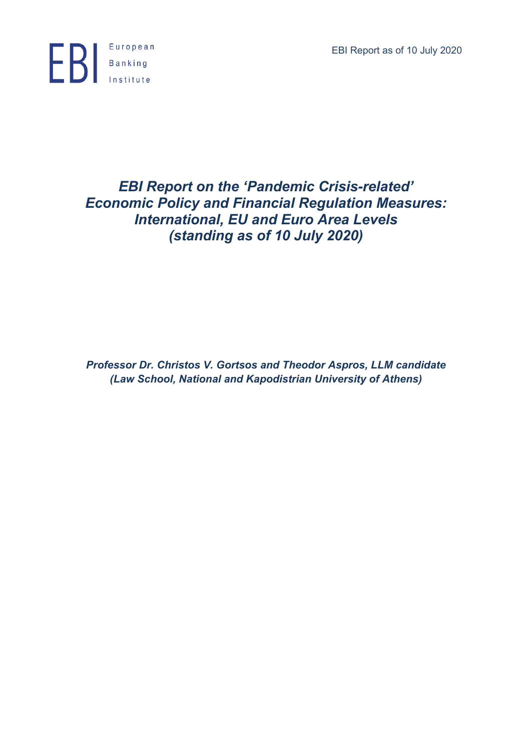EBI Report as of 10 July 2020



# *EBI Report on the 'Pandemic Crisis-related' Economic Policy and Financial Regulation Measures: International, EU and Euro Area Levels (standing as of 10 July 2020)*

*Professor Dr. Christos V. Gortsos and Theodor Aspros, LLM candidate (Law School, National and Kapodistrian University of Athens)*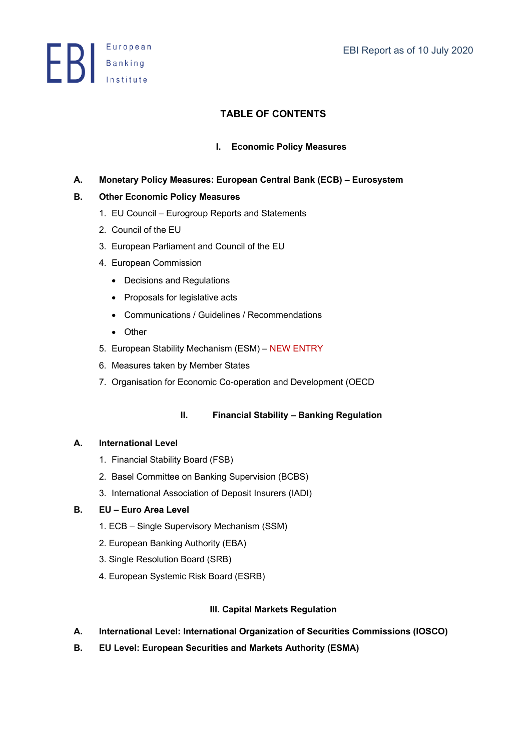**ED** Banking

## **TABLE OF CONTENTS**

## **I. Economic Policy Measures**

**A. Monetary Policy Measures: European Central Bank (ECB) – Eurosystem** 

## **B. Other Economic Policy Measures**

- 1. EU Council Eurogroup Reports and Statements
- 2. Council of the EU
- 3. European Parliament and Council of the EU
- 4. European Commission
	- Decisions and Regulations
	- Proposals for legislative acts
	- Communications / Guidelines / Recommendations
	- Other
- 5. European Stability Mechanism (ESM) NEW ENTRY
- 6. Measures taken by Member States
- 7. Organisation for Economic Co-operation and Development (OECD

## **II. Financial Stability – Banking Regulation**

#### **A. International Level**

- 1. Financial Stability Board (FSB)
- 2. Basel Committee on Banking Supervision (BCBS)
- 3. International Association of Deposit Insurers (IADI)

#### **B. EU – Euro Area Level**

- 1. ECB Single Supervisory Mechanism (SSM)
- 2. European Banking Authority (EBA)
- 3. Single Resolution Board (SRB)
- 4. European Systemic Risk Board (ESRB)

## **III. Capital Markets Regulation**

- **A. International Level: International Organization of Securities Commissions (IOSCO)**
- **B. EU Level: European Securities and Markets Authority (ESMA)**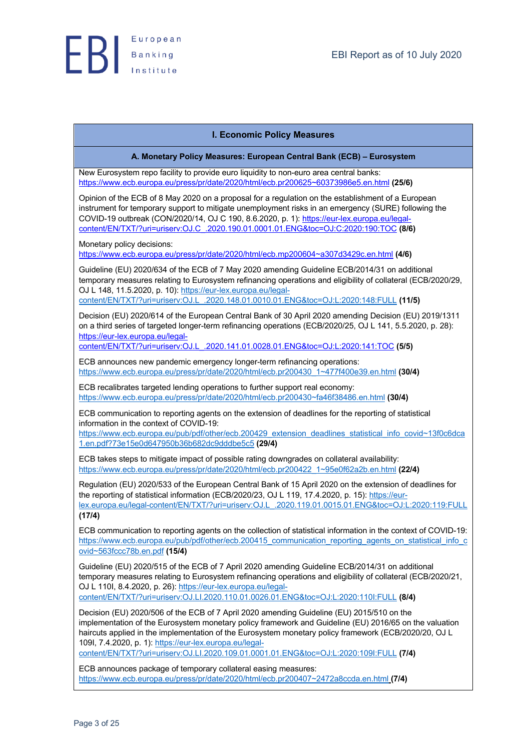#### **I. Economic Policy Measures**

**A. Monetary Policy Measures: European Central Bank (ECB) – Eurosystem**

New Eurosystem repo facility to provide euro liquidity to non-euro area central banks: https://www.ecb.europa.eu/press/pr/date/2020/html/ecb.pr200625~60373986e5.en.html **(25/6)**

Opinion of the ECB of 8 May 2020 on a proposal for a regulation on the establishment of a European instrument for temporary support to mitigate unemployment risks in an emergency (SURE) following the COVID-19 outbreak (CON/2020/14, OJ C 190, 8.6.2020, p. 1): https://eur-lex.europa.eu/legalcontent/EN/TXT/?uri=uriserv:OJ.C\_.2020.190.01.0001.01.ENG&toc=OJ:C:2020:190:TOC **(8/6)**

Monetary policy decisions:

https://www.ecb.europa.eu/press/pr/date/2020/html/ecb.mp200604~a307d3429c.en.html **(4/6)**

Guideline (EU) 2020/634 of the ECB of 7 May 2020 amending Guideline ECB/2014/31 on additional temporary measures relating to Eurosystem refinancing operations and eligibility of collateral (ECB/2020/29, OJ L 148, 11.5.2020, p. 10): https://eur-lex.europa.eu/legalcontent/EN/TXT/?uri=uriserv:OJ.L\_.2020.148.01.0010.01.ENG&toc=OJ:L:2020:148:FULL **(11/5)**

Decision (EU) 2020/614 of the European Central Bank of 30 April 2020 amending Decision (EU) 2019/1311 on a third series of targeted longer-term refinancing operations (ECB/2020/25, OJ L 141, 5.5.2020, p. 28): https://eur-lex.europa.eu/legal-

content/EN/TXT/?uri=uriserv:OJ.L\_.2020.141.01.0028.01.ENG&toc=OJ:L:2020:141:TOC **(5/5)**

ECB announces new pandemic emergency longer-term refinancing operations: https://www.ecb.europa.eu/press/pr/date/2020/html/ecb.pr200430\_1~477f400e39.en.html **(30/4)**

ECB recalibrates targeted lending operations to further support real economy: https://www.ecb.europa.eu/press/pr/date/2020/html/ecb.pr200430~fa46f38486.en.html **(30/4)**

ECB communication to reporting agents on the extension of deadlines for the reporting of statistical information in the context of COVID-19:

https://www.ecb.europa.eu/pub/pdf/other/ecb.200429\_extension\_deadlines\_statistical\_info\_covid~13f0c6dca 1.en.pdf?73e15e0d647950b36b682dc9dddbe5c5 **(29/4)**

ECB takes steps to mitigate impact of possible rating downgrades on collateral availability: https://www.ecb.europa.eu/press/pr/date/2020/html/ecb.pr200422\_1~95e0f62a2b.en.html **(22/4)**

Regulation (EU) 2020/533 of the European Central Bank of 15 April 2020 on the extension of deadlines for the reporting of statistical information (ECB/2020/23, OJ L 119, 17.4.2020, p. 15): https://eurlex.europa.eu/legal-content/EN/TXT/?uri=uriserv:OJ.L\_.2020.119.01.0015.01.ENG&toc=OJ:L:2020:119:FULL **(17/4)**

ECB communication to reporting agents on the collection of statistical information in the context of COVID-19: https://www.ecb.europa.eu/pub/pdf/other/ecb.200415\_communication\_reporting\_agents\_on\_statistical\_info\_c ovid~563fccc78b.en.pdf **(15/4)**

Guideline (EU) 2020/515 of the ECB of 7 April 2020 amending Guideline ECB/2014/31 on additional temporary measures relating to Eurosystem refinancing operations and eligibility of collateral (ECB/2020/21, OJ L 110I, 8.4.2020, p. 26): https://eur-lex.europa.eu/legalcontent/EN/TXT/?uri=uriserv:OJ.LI.2020.110.01.0026.01.ENG&toc=OJ:L:2020:110I:FULL **(8/4)**

Decision (EU) 2020/506 of the ECB of 7 April 2020 amending Guideline (EU) 2015/510 on the implementation of the Eurosystem monetary policy framework and Guideline (EU) 2016/65 on the valuation haircuts applied in the implementation of the Eurosystem monetary policy framework (ECB/2020/20, OJ L 109I, 7.4.2020, p. 1): https://eur-lex.europa.eu/legal-

content/EN/TXT/?uri=uriserv:OJ.LI.2020.109.01.0001.01.ENG&toc=OJ:L:2020:109I:FULL **(7/4)**

ECB announces package of temporary collateral easing measures: https://www.ecb.europa.eu/press/pr/date/2020/html/ecb.pr200407~2472a8ccda.en.html **(7/4)**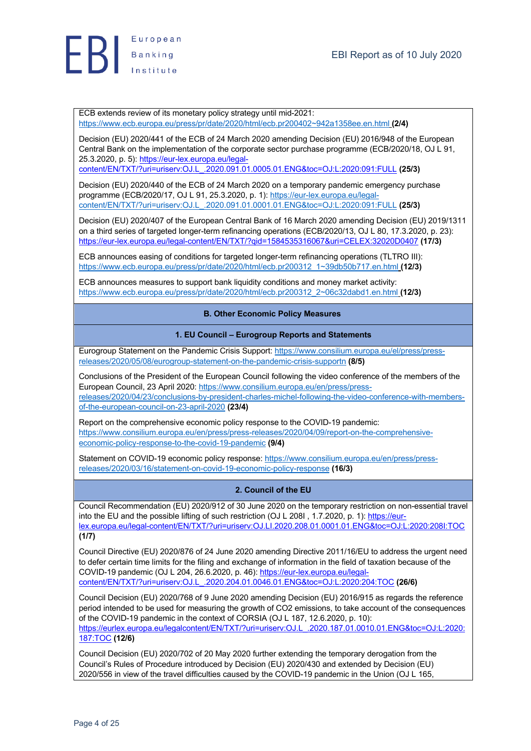

ECB extends review of its monetary policy strategy until mid-2021: https://www.ecb.europa.eu/press/pr/date/2020/html/ecb.pr200402~942a1358ee.en.html **(2/4)**

Decision (EU) 2020/441 of the ECB of 24 March 2020 amending Decision (EU) 2016/948 of the European Central Bank on the implementation of the corporate sector purchase programme (ECB/2020/18, OJ L 91, 25.3.2020, p. 5): https://eur-lex.europa.eu/legal-

content/EN/TXT/?uri=uriserv:OJ.L\_.2020.091.01.0005.01.ENG&toc=OJ:L:2020:091:FULL **(25/3)**

Decision (EU) 2020/440 of the ECB of 24 March 2020 on a temporary pandemic emergency purchase programme (ECB/2020/17, OJ L 91, 25.3.2020, p. 1): https://eur-lex.europa.eu/legalcontent/EN/TXT/?uri=uriserv:OJ.L\_.2020.091.01.0001.01.ENG&toc=OJ:L:2020:091:FULL **(25/3)**

Decision (EU) 2020/407 of the European Central Bank of 16 March 2020 amending Decision (EU) 2019/1311 on a third series of targeted longer-term refinancing operations (ECB/2020/13, OJ L 80, 17.3.2020, p. 23): https://eur-lex.europa.eu/legal-content/EN/TXT/?qid=1584535316067&uri=CELEX:32020D0407 **(17/3)**

ECB announces easing of conditions for targeted longer-term refinancing operations (TLTRO III): https://www.ecb.europa.eu/press/pr/date/2020/html/ecb.pr200312\_1~39db50b717.en.html **(12/3)**

ECB announces measures to support bank liquidity conditions and money market activity: https://www.ecb.europa.eu/press/pr/date/2020/html/ecb.pr200312\_2~06c32dabd1.en.html **(12/3)**

#### **B. Other Economic Policy Measures**

#### **1. EU Council – Eurogroup Reports and Statements**

Eurogroup Statement on the Pandemic Crisis Support: https://www.consilium.europa.eu/el/press/pressreleases/2020/05/08/eurogroup-statement-on-the-pandemic-crisis-supportn **(8/5)**

Conclusions of the President of the European Council following the video conference of the members of the European Council, 23 April 2020: https://www.consilium.europa.eu/en/press/pressreleases/2020/04/23/conclusions-by-president-charles-michel-following-the-video-conference-with-membersof-the-european-council-on-23-april-2020 **(23/4)**

Report on the comprehensive economic policy response to the COVID-19 pandemic: https://www.consilium.europa.eu/en/press/press-releases/2020/04/09/report-on-the-comprehensiveeconomic-policy-response-to-the-covid-19-pandemic **(9/4)**

Statement on COVID-19 economic policy response: https://www.consilium.europa.eu/en/press/pressreleases/2020/03/16/statement-on-covid-19-economic-policy-response **(16/3)**

#### **2. Council of the EU**

Council Recommendation (EU) 2020/912 of 30 June 2020 on the temporary restriction on non-essential travel into the EU and the possible lifting of such restriction (OJ L 208I, 1.7.2020, p. 1): https://eurlex.europa.eu/legal-content/EN/TXT/?uri=uriserv:OJ.LI.2020.208.01.0001.01.ENG&toc=OJ:L:2020:208I:TOC **(1/7)**

Council Directive (EU) 2020/876 of 24 June 2020 amending Directive 2011/16/EU to address the urgent need to defer certain time limits for the filing and exchange of information in the field of taxation because of the COVID-19 pandemic (OJ L 204, 26.6.2020, p. 46): https://eur-lex.europa.eu/legalcontent/EN/TXT/?uri=uriserv:OJ.L\_.2020.204.01.0046.01.ENG&toc=OJ:L:2020:204:TOC **(26/6)**

Council Decision (EU) 2020/768 of 9 June 2020 amending Decision (EU) 2016/915 as regards the reference period intended to be used for measuring the growth of CO2 emissions, to take account of the consequences of the COVID-19 pandemic in the context of CORSIA (OJ L 187, 12.6.2020, p. 10): https://eurlex.europa.eu/legalcontent/EN/TXT/?uri=uriserv:OJ.L\_.2020.187.01.0010.01.ENG&toc=OJ:L:2020: 187:TOC **(12/6)**

Council Decision (EU) 2020/702 of 20 May 2020 further extending the temporary derogation from the Council's Rules of Procedure introduced by Decision (EU) 2020/430 and extended by Decision (EU) 2020/556 in view of the travel difficulties caused by the COVID-19 pandemic in the Union (OJ L 165,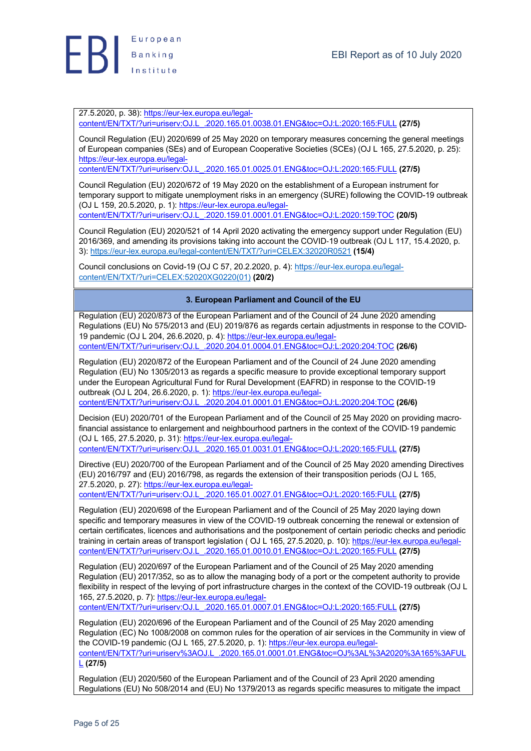

27.5.2020, p. 38): https://eur-lex.europa.eu/legalcontent/EN/TXT/?uri=uriserv:OJ.L\_.2020.165.01.0038.01.ENG&toc=OJ:L:2020:165:FULL **(27/5)**

Council Regulation (EU) 2020/699 of 25 May 2020 on temporary measures concerning the general meetings of European companies (SEs) and of European Cooperative Societies (SCEs) (OJ L 165, 27.5.2020, p. 25): https://eur-lex.europa.eu/legal-

content/EN/TXT/?uri=uriserv:OJ.L\_.2020.165.01.0025.01.ENG&toc=OJ:L:2020:165:FULL **(27/5)**

Council Regulation (EU) 2020/672 of 19 May 2020 on the establishment of a European instrument for temporary support to mitigate unemployment risks in an emergency (SURE) following the COVID-19 outbreak (OJ L 159, 20.5.2020, p. 1): https://eur-lex.europa.eu/legalcontent/EN/TXT/?uri=uriserv:OJ.L\_.2020.159.01.0001.01.ENG&toc=OJ:L:2020:159:TOC **(20/5)**

Council Regulation (EU) 2020/521 of 14 April 2020 activating the emergency support under Regulation (EU) 2016/369, and amending its provisions taking into account the COVID-19 outbreak (OJ L 117, 15.4.2020, p. 3): https://eur-lex.europa.eu/legal-content/EN/TXT/?uri=CELEX:32020R0521 **(15/4)**

Council conclusions on Covid-19 (OJ C 57, 20.2.2020, p. 4): https://eur-lex.europa.eu/legalcontent/EN/TXT/?uri=CELEX:52020XG0220(01) **(20/2)**

## **3. European Parliament and Council of the EU**

Regulation (EU) 2020/873 of the European Parliament and of the Council of 24 June 2020 amending Regulations (EU) No 575/2013 and (EU) 2019/876 as regards certain adjustments in response to the COVID-19 pandemic (OJ L 204, 26.6.2020, p. 4): https://eur-lex.europa.eu/legalcontent/EN/TXT/?uri=uriserv:OJ.L\_.2020.204.01.0004.01.ENG&toc=OJ:L:2020:204:TOC **(26/6)**

Regulation (EU) 2020/872 of the European Parliament and of the Council of 24 June 2020 amending Regulation (EU) No 1305/2013 as regards a specific measure to provide exceptional temporary support under the European Agricultural Fund for Rural Development (EAFRD) in response to the COVID-19 outbreak (OJ L 204, 26.6.2020, p. 1): https://eur-lex.europa.eu/legalcontent/EN/TXT/?uri=uriserv:OJ.L\_.2020.204.01.0001.01.ENG&toc=OJ:L:2020:204:TOC **(26/6)**

Decision (EU) 2020/701 of the European Parliament and of the Council of 25 May 2020 on providing macrofinancial assistance to enlargement and neighbourhood partners in the context of the COVID-19 pandemic (OJ L 165, 27.5.2020, p. 31): https://eur-lex.europa.eu/legalcontent/EN/TXT/?uri=uriserv:OJ.L\_.2020.165.01.0031.01.ENG&toc=OJ:L:2020:165:FULL **(27/5)**

Directive (EU) 2020/700 of the European Parliament and of the Council of 25 May 2020 amending Directives (EU) 2016/797 and (EU) 2016/798, as regards the extension of their transposition periods (OJ L 165, 27.5.2020, p. 27): https://eur-lex.europa.eu/legal-

content/EN/TXT/?uri=uriserv:OJ.L\_.2020.165.01.0027.01.ENG&toc=OJ:L:2020:165:FULL **(27/5)**

Regulation (EU) 2020/698 of the European Parliament and of the Council of 25 May 2020 laying down specific and temporary measures in view of the COVID-19 outbreak concerning the renewal or extension of certain certificates, licences and authorisations and the postponement of certain periodic checks and periodic training in certain areas of transport legislation ( OJ L 165, 27.5.2020, p. 10): https://eur-lex.europa.eu/legalcontent/EN/TXT/?uri=uriserv:OJ.L\_.2020.165.01.0010.01.ENG&toc=OJ:L:2020:165:FULL **(27/5)**

Regulation (EU) 2020/697 of the European Parliament and of the Council of 25 May 2020 amending Regulation (EU) 2017/352, so as to allow the managing body of a port or the competent authority to provide flexibility in respect of the levying of port infrastructure charges in the context of the COVID-19 outbreak (OJ L 165, 27.5.2020, p. 7): https://eur-lex.europa.eu/legal-

content/EN/TXT/?uri=uriserv:OJ.L\_.2020.165.01.0007.01.ENG&toc=OJ:L:2020:165:FULL **(27/5)**

Regulation (EU) 2020/696 of the European Parliament and of the Council of 25 May 2020 amending Regulation (EC) No 1008/2008 on common rules for the operation of air services in the Community in view of the COVID-19 pandemic (OJ L 165, 27.5.2020, p. 1): https://eur-lex.europa.eu/legalcontent/EN/TXT/?uri=uriserv%3AOJ.L\_.2020.165.01.0001.01.ENG&toc=OJ%3AL%3A2020%3A165%3AFUL L **(27/5)**

Regulation (EU) 2020/560 of the European Parliament and of the Council of 23 April 2020 amending Regulations (EU) No 508/2014 and (EU) No 1379/2013 as regards specific measures to mitigate the impact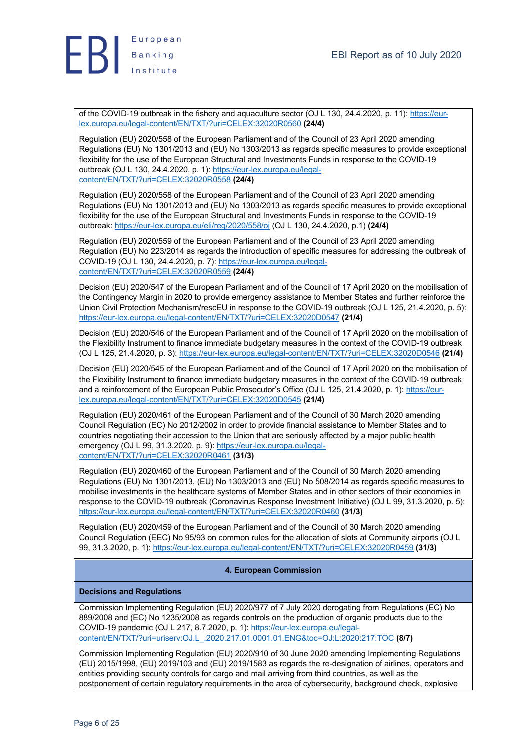

of the COVID-19 outbreak in the fishery and aquaculture sector (OJ L 130, 24.4.2020, p. 11): https://eurlex.europa.eu/legal-content/EN/TXT/?uri=CELEX:32020R0560 **(24/4)**

Regulation (EU) 2020/558 of the European Parliament and of the Council of 23 April 2020 amending Regulations (EU) No 1301/2013 and (EU) No 1303/2013 as regards specific measures to provide exceptional flexibility for the use of the European Structural and Investments Funds in response to the COVID-19 outbreak (OJ L 130, 24.4.2020, p. 1): https://eur-lex.europa.eu/legalcontent/EN/TXT/?uri=CELEX:32020R0558 **(24/4)**

Regulation (EU) 2020/558 of the European Parliament and of the Council of 23 April 2020 amending Regulations (EU) No 1301/2013 and (EU) No 1303/2013 as regards specific measures to provide exceptional flexibility for the use of the European Structural and Investments Funds in response to the COVID-19 outbreak: https://eur-lex.europa.eu/eli/reg/2020/558/oj (OJ L 130, 24.4.2020, p.1) **(24/4)**

Regulation (EU) 2020/559 of the European Parliament and of the Council of 23 April 2020 amending Regulation (EU) No 223/2014 as regards the introduction of specific measures for addressing the outbreak of COVID-19 (OJ L 130, 24.4.2020, p. 7): https://eur-lex.europa.eu/legalcontent/EN/TXT/?uri=CELEX:32020R0559 **(24/4)**

Decision (EU) 2020/547 of the European Parliament and of the Council of 17 April 2020 on the mobilisation of the Contingency Margin in 2020 to provide emergency assistance to Member States and further reinforce the Union Civil Protection Mechanism/rescEU in response to the COVID-19 outbreak (OJ L 125, 21.4.2020, p. 5): https://eur-lex.europa.eu/legal-content/EN/TXT/?uri=CELEX:32020D0547 **(21/4)**

Decision (EU) 2020/546 of the European Parliament and of the Council of 17 April 2020 on the mobilisation of the Flexibility Instrument to finance immediate budgetary measures in the context of the COVID-19 outbreak (OJ L 125, 21.4.2020, p. 3): https://eur-lex.europa.eu/legal-content/EN/TXT/?uri=CELEX:32020D0546 **(21/4)**

Decision (EU) 2020/545 of the European Parliament and of the Council of 17 April 2020 on the mobilisation of the Flexibility Instrument to finance immediate budgetary measures in the context of the COVID-19 outbreak and a reinforcement of the European Public Prosecutor's Office (OJ L 125, 21.4.2020, p. 1): https://eurlex.europa.eu/legal-content/EN/TXT/?uri=CELEX:32020D0545 **(21/4)**

Regulation (EU) 2020/461 of the European Parliament and of the Council of 30 March 2020 amending Council Regulation (EC) No 2012/2002 in order to provide financial assistance to Member States and to countries negotiating their accession to the Union that are seriously affected by a major public health emergency (OJ L 99, 31.3.2020, p. 9): https://eur-lex.europa.eu/legalcontent/EN/TXT/?uri=CELEX:32020R0461 **(31/3)**

Regulation (EU) 2020/460 of the European Parliament and of the Council of 30 March 2020 amending Regulations (EU) No 1301/2013, (EU) No 1303/2013 and (EU) No 508/2014 as regards specific measures to mobilise investments in the healthcare systems of Member States and in other sectors of their economies in response to the COVID-19 outbreak (Coronavirus Response Investment Initiative) (OJ L 99, 31.3.2020, p. 5): https://eur-lex.europa.eu/legal-content/EN/TXT/?uri=CELEX:32020R0460 **(31/3)**

Regulation (EU) 2020/459 of the European Parliament and of the Council of 30 March 2020 amending Council Regulation (EEC) No 95/93 on common rules for the allocation of slots at Community airports (OJ L 99, 31.3.2020, p. 1): https://eur-lex.europa.eu/legal-content/EN/TXT/?uri=CELEX:32020R0459 **(31/3)**

## **4. European Commission**

#### **Decisions and Regulations**

Commission Implementing Regulation (EU) 2020/977 of 7 July 2020 derogating from Regulations (EC) No 889/2008 and (EC) No 1235/2008 as regards controls on the production of organic products due to the COVID-19 pandemic (OJ L 217, 8.7.2020, p. 1): https://eur-lex.europa.eu/legalcontent/EN/TXT/?uri=uriserv:OJ.L\_.2020.217.01.0001.01.ENG&toc=OJ:L:2020:217:TOC **(8/7)**

Commission Implementing Regulation (EU) 2020/910 of 30 June 2020 amending Implementing Regulations (EU) 2015/1998, (EU) 2019/103 and (EU) 2019/1583 as regards the re-designation of airlines, operators and entities providing security controls for cargo and mail arriving from third countries, as well as the postponement of certain regulatory requirements in the area of cybersecurity, background check, explosive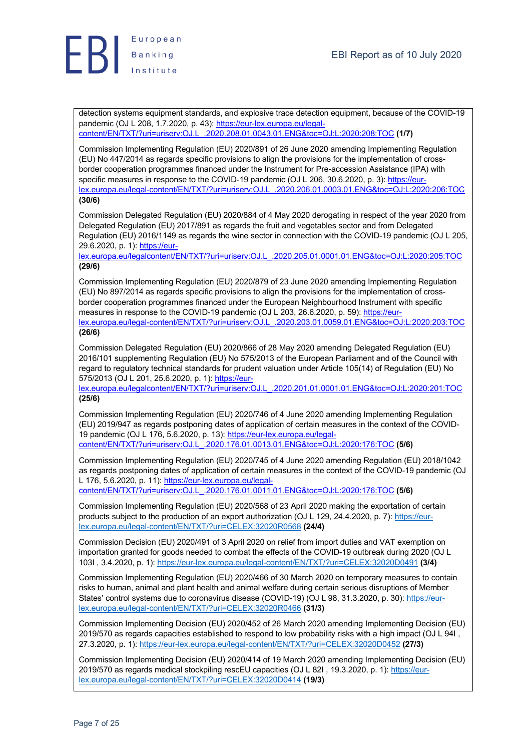

detection systems equipment standards, and explosive trace detection equipment, because of the COVID-19 pandemic (OJ L 208, 1.7.2020, p. 43): https://eur-lex.europa.eu/legalcontent/EN/TXT/?uri=uriserv:OJ.L\_.2020.208.01.0043.01.ENG&toc=OJ:L:2020:208:TOC **(1/7)**

Commission Implementing Regulation (EU) 2020/891 of 26 June 2020 amending Implementing Regulation (EU) No 447/2014 as regards specific provisions to align the provisions for the implementation of crossborder cooperation programmes financed under the Instrument for Pre-accession Assistance (IPA) with specific measures in response to the COVID-19 pandemic (OJ L 206, 30.6.2020, p. 3): https://eurlex.europa.eu/legal-content/EN/TXT/?uri=uriserv:OJ.L\_.2020.206.01.0003.01.ENG&toc=OJ:L:2020:206:TOC **(30/6)**

Commission Delegated Regulation (EU) 2020/884 of 4 May 2020 derogating in respect of the year 2020 from Delegated Regulation (EU) 2017/891 as regards the fruit and vegetables sector and from Delegated Regulation (EU) 2016/1149 as regards the wine sector in connection with the COVID-19 pandemic (OJ L 205, 29.6.2020, p. 1): https://eur-

lex.europa.eu/legalcontent/EN/TXT/?uri=uriserv:OJ.L\_.2020.205.01.0001.01.ENG&toc=OJ:L:2020:205:TOC **(29/6)**

Commission Implementing Regulation (EU) 2020/879 of 23 June 2020 amending Implementing Regulation (EU) No 897/2014 as regards specific provisions to align the provisions for the implementation of crossborder cooperation programmes financed under the European Neighbourhood Instrument with specific measures in response to the COVID-19 pandemic (OJ L 203, 26.6.2020, p. 59): https://eurlex.europa.eu/legal-content/EN/TXT/?uri=uriserv:OJ.L\_.2020.203.01.0059.01.ENG&toc=OJ:L:2020:203:TOC **(26/6)**

Commission Delegated Regulation (EU) 2020/866 of 28 May 2020 amending Delegated Regulation (EU) 2016/101 supplementing Regulation (EU) No 575/2013 of the European Parliament and of the Council with regard to regulatory technical standards for prudent valuation under Article 105(14) of Regulation (EU) No 575/2013 (OJ L 201, 25.6.2020, p. 1): https://eur-

lex.europa.eu/legalcontent/EN/TXT/?uri=uriserv:OJ.L\_.2020.201.01.0001.01.ENG&toc=OJ:L:2020:201:TOC **(25/6)**

Commission Implementing Regulation (EU) 2020/746 of 4 June 2020 amending Implementing Regulation (EU) 2019/947 as regards postponing dates of application of certain measures in the context of the COVID-19 pandemic (OJ L 176, 5.6.2020, p. 13): https://eur-lex.europa.eu/legalcontent/EN/TXT/?uri=uriserv:OJ.L\_.2020.176.01.0013.01.ENG&toc=OJ:L:2020:176:TOC **(5/6)**

Commission Implementing Regulation (EU) 2020/745 of 4 June 2020 amending Regulation (EU) 2018/1042 as regards postponing dates of application of certain measures in the context of the COVID-19 pandemic (OJ L 176, 5.6.2020, p. 11): https://eur-lex.europa.eu/legal-

content/EN/TXT/?uri=uriserv:OJ.L\_.2020.176.01.0011.01.ENG&toc=OJ:L:2020:176:TOC **(5/6)**

Commission Implementing Regulation (EU) 2020/568 of 23 April 2020 making the exportation of certain products subject to the production of an export authorization (OJ L 129, 24.4.2020, p. 7): https://eurlex.europa.eu/legal-content/EN/TXT/?uri=CELEX:32020R0568 **(24/4)**

Commission Decision (EU) 2020/491 of 3 April 2020 on relief from import duties and VAT exemption on importation granted for goods needed to combat the effects of the COVID-19 outbreak during 2020 (OJ L 103I , 3.4.2020, p. 1): https://eur-lex.europa.eu/legal-content/EN/TXT/?uri=CELEX:32020D0491 **(3/4)**

Commission Implementing Regulation (EU) 2020/466 of 30 March 2020 on temporary measures to contain risks to human, animal and plant health and animal welfare during certain serious disruptions of Member States' control systems due to coronavirus disease (COVID-19) (OJ L 98, 31.3.2020, p. 30): https://eurlex.europa.eu/legal-content/EN/TXT/?uri=CELEX:32020R0466 **(31/3)**

Commission Implementing Decision (EU) 2020/452 of 26 March 2020 amending Implementing Decision (EU) 2019/570 as regards capacities established to respond to low probability risks with a high impact (OJ L 94I , 27.3.2020, p. 1): https://eur-lex.europa.eu/legal-content/EN/TXT/?uri=CELEX:32020D0452 **(27/3)**

Commission Implementing Decision (EU) 2020/414 of 19 March 2020 amending Implementing Decision (EU) 2019/570 as regards medical stockpiling rescEU capacities (OJ L 82I , 19.3.2020, p. 1): https://eurlex.europa.eu/legal-content/EN/TXT/?uri=CELEX:32020D0414 **(19/3)**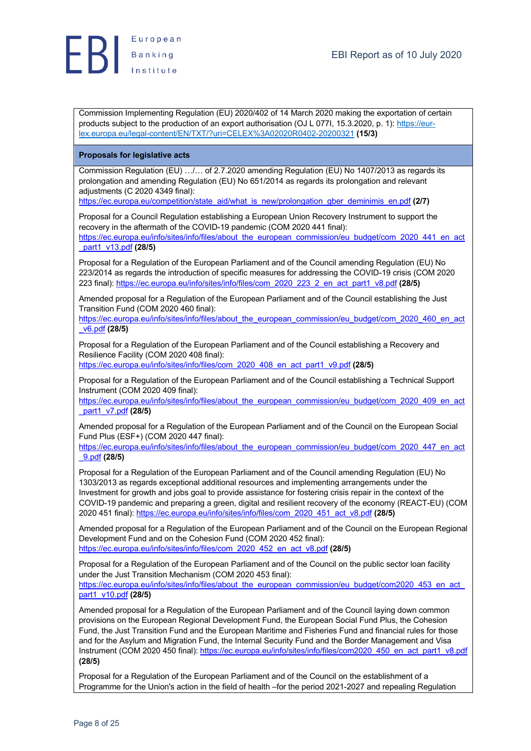

Commission Implementing Regulation (EU) 2020/402 of 14 March 2020 making the exportation of certain products subject to the production of an export authorisation (OJ L 077I, 15.3.2020, p. 1): https://eurlex.europa.eu/legal-content/EN/TXT/?uri=CELEX%3A02020R0402-20200321 **(15/3)**

#### **Proposals for legislative acts**

Commission Regulation (EU) …/… of 2.7.2020 amending Regulation (EU) No 1407/2013 as regards its prolongation and amending Regulation (EU) No 651/2014 as regards its prolongation and relevant adjustments (C 2020 4349 final):

https://ec.europa.eu/competition/state\_aid/what\_is\_new/prolongation\_gber\_deminimis\_en.pdf **(2/7)**

Proposal for a Council Regulation establishing a European Union Recovery Instrument to support the recovery in the aftermath of the COVID-19 pandemic (COM 2020 441 final):

https://ec.europa.eu/info/sites/info/files/about\_the\_european\_commission/eu\_budget/com\_2020\_441\_en\_act \_part1\_v13.pdf **(28/5)**

Proposal for a Regulation of the European Parliament and of the Council amending Regulation (EU) No 223/2014 as regards the introduction of specific measures for addressing the COVID-19 crisis (COM 2020 223 final): https://ec.europa.eu/info/sites/info/files/com\_2020\_223\_2\_en\_act\_part1\_v8.pdf **(28/5)**

Amended proposal for a Regulation of the European Parliament and of the Council establishing the Just Transition Fund (COM 2020 460 final):

https://ec.europa.eu/info/sites/info/files/about\_the\_european\_commission/eu\_budget/com\_2020\_460\_en\_act \_v6.pdf **(28/5)**

Proposal for a Regulation of the European Parliament and of the Council establishing a Recovery and Resilience Facility (COM 2020 408 final):

https://ec.europa.eu/info/sites/info/files/com\_2020\_408\_en\_act\_part1\_v9.pdf **(28/5)**

Proposal for a Regulation of the European Parliament and of the Council establishing a Technical Support Instrument (COM 2020 409 final):

https://ec.europa.eu/info/sites/info/files/about\_the\_european\_commission/eu\_budget/com\_2020\_409\_en\_act \_part1\_v7.pdf **(28/5)**

Amended proposal for a Regulation of the European Parliament and of the Council on the European Social Fund Plus (ESF+) (COM 2020 447 final):

https://ec.europa.eu/info/sites/info/files/about\_the\_european\_commission/eu\_budget/com\_2020\_447\_en\_act \_9.pdf **(28/5)**

Proposal for a Regulation of the European Parliament and of the Council amending Regulation (EU) No 1303/2013 as regards exceptional additional resources and implementing arrangements under the Investment for growth and jobs goal to provide assistance for fostering crisis repair in the context of the COVID-19 pandemic and preparing a green, digital and resilient recovery of the economy (REACT-EU) (COM 2020 451 final): https://ec.europa.eu/info/sites/info/files/com\_2020\_451\_act\_v8.pdf **(28/5)**

Amended proposal for a Regulation of the European Parliament and of the Council on the European Regional Development Fund and on the Cohesion Fund (COM 2020 452 final): https://ec.europa.eu/info/sites/info/files/com\_2020\_452\_en\_act\_v8.pdf **(28/5)**

Proposal for a Regulation of the European Parliament and of the Council on the public sector loan facility under the Just Transition Mechanism (COM 2020 453 final):

https://ec.europa.eu/info/sites/info/files/about\_the\_european\_commission/eu\_budget/com2020\_453\_en\_act part1\_v10.pdf **(28/5)**

Amended proposal for a Regulation of the European Parliament and of the Council laying down common provisions on the European Regional Development Fund, the European Social Fund Plus, the Cohesion Fund, the Just Transition Fund and the European Maritime and Fisheries Fund and financial rules for those and for the Asylum and Migration Fund, the Internal Security Fund and the Border Management and Visa Instrument (COM 2020 450 final): https://ec.europa.eu/info/sites/info/files/com2020\_450\_en\_act\_part1\_v8.pdf **(28/5)**

Proposal for a Regulation of the European Parliament and of the Council on the establishment of a Programme for the Union's action in the field of health –for the period 2021-2027 and repealing Regulation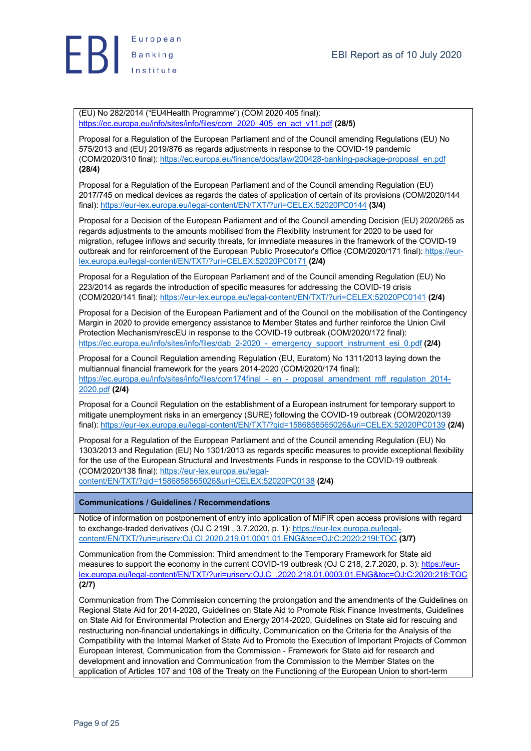

(EU) No 282/2014 ("EU4Health Programme") (COM 2020 405 final): https://ec.europa.eu/info/sites/info/files/com\_2020\_405\_en\_act\_v11.pdf **(28/5)**

Proposal for a Regulation of the European Parliament and of the Council amending Regulations (EU) No 575/2013 and (EU) 2019/876 as regards adjustments in response to the COVID-19 pandemic (COM/2020/310 final): https://ec.europa.eu/finance/docs/law/200428-banking-package-proposal\_en.pdf **(28/4)**

Proposal for a Regulation of the European Parliament and of the Council amending Regulation (EU) 2017/745 on medical devices as regards the dates of application of certain of its provisions (COM/2020/144 final): https://eur-lex.europa.eu/legal-content/EN/TXT/?uri=CELEX:52020PC0144 **(3/4)**

Proposal for a Decision of the European Parliament and of the Council amending Decision (EU) 2020/265 as regards adjustments to the amounts mobilised from the Flexibility Instrument for 2020 to be used for migration, refugee inflows and security threats, for immediate measures in the framework of the COVID-19 outbreak and for reinforcement of the European Public Prosecutor's Office (COM/2020/171 final): https://eurlex.europa.eu/legal-content/EN/TXT/?uri=CELEX:52020PC0171 **(2/4)**

Proposal for a Regulation of the European Parliament and of the Council amending Regulation (EU) No 223/2014 as regards the introduction of specific measures for addressing the COVID-19 crisis (COM/2020/141 final): https://eur-lex.europa.eu/legal-content/EN/TXT/?uri=CELEX:52020PC0141 **(2/4)**

Proposal for a Decision of the European Parliament and of the Council on the mobilisation of the Contingency Margin in 2020 to provide emergency assistance to Member States and further reinforce the Union Civil Protection Mechanism/rescEU in response to the COVID-19 outbreak (COM/2020/172 final): https://ec.europa.eu/info/sites/info/files/dab\_2-2020\_-\_emergency\_support\_instrument\_esi\_0.pdf **(2/4)**

Proposal for a Council Regulation amending Regulation (EU, Euratom) No 1311/2013 laying down the multiannual financial framework for the years 2014-2020 (COM/2020/174 final): https://ec.europa.eu/info/sites/info/files/com174final - en - proposal amendment mff regulation 2014-2020.pdf **(2/4)**

Proposal for a Council Regulation on the establishment of a European instrument for temporary support to mitigate unemployment risks in an emergency (SURE) following the COVID-19 outbreak (COM/2020/139 final): https://eur-lex.europa.eu/legal-content/EN/TXT/?qid=1586858565026&uri=CELEX:52020PC0139 **(2/4)**

Proposal for a Regulation of the European Parliament and of the Council amending Regulation (EU) No 1303/2013 and Regulation (EU) No 1301/2013 as regards specific measures to provide exceptional flexibility for the use of the European Structural and Investments Funds in response to the COVID-19 outbreak (COM/2020/138 final): https://eur-lex.europa.eu/legalcontent/EN/TXT/?qid=1586858565026&uri=CELEX:52020PC0138 **(2/4)**

#### **Communications / Guidelines / Recommendations**

Notice of information on postponement of entry into application of MiFIR open access provisions with regard to exchange-traded derivatives (OJ C 219I , 3.7.2020, p. 1): https://eur-lex.europa.eu/legalcontent/EN/TXT/?uri=uriserv:OJ.CI.2020.219.01.0001.01.ENG&toc=OJ:C:2020:219I:TOC **(3/7)**

Communication from the Commission: Third amendment to the Temporary Framework for State aid measures to support the economy in the current COVID-19 outbreak (OJ C 218, 2.7.2020, p. 3): https://eurlex.europa.eu/legal-content/EN/TXT/?uri=uriserv:OJ.C\_.2020.218.01.0003.01.ENG&toc=OJ:C:2020:218:TOC **(2/7)**

Communication from The Commission concerning the prolongation and the amendments of the Guidelines on Regional State Aid for 2014-2020, Guidelines on State Aid to Promote Risk Finance Investments, Guidelines on State Aid for Environmental Protection and Energy 2014-2020, Guidelines on State aid for rescuing and restructuring non-financial undertakings in difficulty, Communication on the Criteria for the Analysis of the Compatibility with the Internal Market of State Aid to Promote the Execution of Important Projects of Common European Interest, Communication from the Commission - Framework for State aid for research and development and innovation and Communication from the Commission to the Member States on the application of Articles 107 and 108 of the Treaty on the Functioning of the European Union to short-term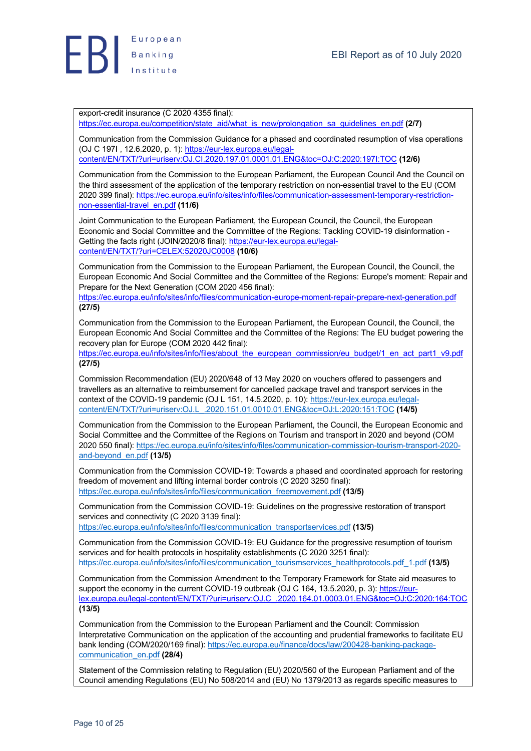

export-credit insurance (C 2020 4355 final):

https://ec.europa.eu/competition/state\_aid/what\_is\_new/prolongation\_sa\_guidelines\_en.pdf **(2/7)**

Communication from the Commission Guidance for a phased and coordinated resumption of visa operations (OJ C 197I , 12.6.2020, p. 1): https://eur-lex.europa.eu/legalcontent/EN/TXT/?uri=uriserv:OJ.CI.2020.197.01.0001.01.ENG&toc=OJ:C:2020:197I:TOC **(12/6)**

Communication from the Commission to the European Parliament, the European Council And the Council on the third assessment of the application of the temporary restriction on non-essential travel to the EU (COM 2020 399 final): https://ec.europa.eu/info/sites/info/files/communication-assessment-temporary-restrictionnon-essential-travel\_en.pdf **(11/6)**

Joint Communication to the European Parliament, the European Council, the Council, the European Economic and Social Committee and the Committee of the Regions: Tackling COVID-19 disinformation - Getting the facts right (JOIN/2020/8 final): https://eur-lex.europa.eu/legalcontent/EN/TXT/?uri=CELEX:52020JC0008 **(10/6)**

Communication from the Commission to the European Parliament, the European Council, the Council, the European Economic And Social Committee and the Committee of the Regions: Europe's moment: Repair and Prepare for the Next Generation (COM 2020 456 final):

https://ec.europa.eu/info/sites/info/files/communication-europe-moment-repair-prepare-next-generation.pdf **(27/5)**

Communication from the Commission to the European Parliament, the European Council, the Council, the European Economic And Social Committee and the Committee of the Regions: The EU budget powering the recovery plan for Europe (COM 2020 442 final):

https://ec.europa.eu/info/sites/info/files/about\_the\_european\_commission/eu\_budget/1\_en\_act\_part1\_v9.pdf **(27/5)**

Commission Recommendation (EU) 2020/648 of 13 May 2020 on vouchers offered to passengers and travellers as an alternative to reimbursement for cancelled package travel and transport services in the context of the COVID-19 pandemic (OJ L 151, 14.5.2020, p. 10): https://eur-lex.europa.eu/legalcontent/EN/TXT/?uri=uriserv:OJ.L\_.2020.151.01.0010.01.ENG&toc=OJ:L:2020:151:TOC **(14/5)**

Communication from the Commission to the European Parliament, the Council, the European Economic and Social Committee and the Committee of the Regions on Tourism and transport in 2020 and beyond (COM 2020 550 final): https://ec.europa.eu/info/sites/info/files/communication-commission-tourism-transport-2020 and-beyond\_en.pdf **(13/5)**

Communication from the Commission COVID-19: Towards a phased and coordinated approach for restoring freedom of movement and lifting internal border controls (C 2020 3250 final): https://ec.europa.eu/info/sites/info/files/communication\_freemovement.pdf **(13/5)**

Communication from the Commission COVID-19: Guidelines on the progressive restoration of transport services and connectivity (C 2020 3139 final):

https://ec.europa.eu/info/sites/info/files/communication\_transportservices.pdf **(13/5)**

Communication from the Commission COVID-19: EU Guidance for the progressive resumption of tourism services and for health protocols in hospitality establishments (C 2020 3251 final): https://ec.europa.eu/info/sites/info/files/communication\_tourismservices\_healthprotocols.pdf\_1.pdf **(13/5)**

Communication from the Commission Amendment to the Temporary Framework for State aid measures to support the economy in the current COVID-19 outbreak (OJ C 164, 13.5.2020, p. 3); https://eurlex.europa.eu/legal-content/EN/TXT/?uri=uriserv:OJ.C\_.2020.164.01.0003.01.ENG&toc=OJ:C:2020:164:TOC **(13/5)**

Communication from the Commission to the European Parliament and the Council: Commission Interpretative Communication on the application of the accounting and prudential frameworks to facilitate EU bank lending (COM/2020/169 final): https://ec.europa.eu/finance/docs/law/200428-banking-packagecommunication\_en.pdf **(28/4)**

Statement of the Commission relating to Regulation (EU) 2020/560 of the European Parliament and of the Council amending Regulations (EU) No 508/2014 and (EU) No 1379/2013 as regards specific measures to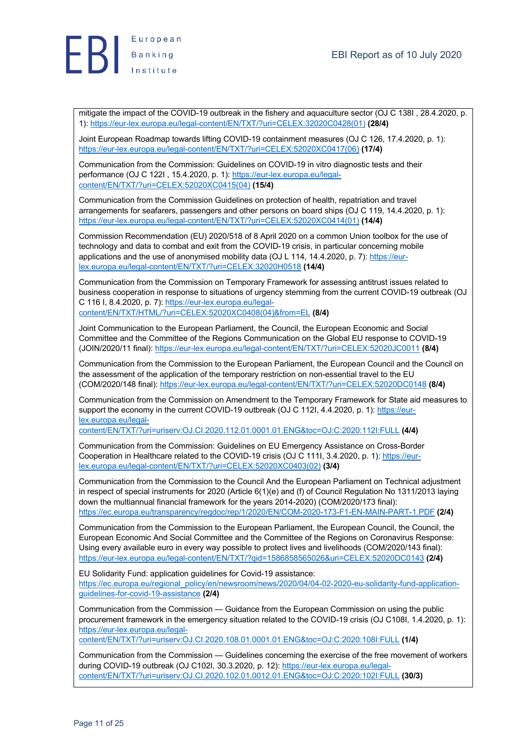

mitigate the impact of the COVID-19 outbreak in the fishery and aquaculture sector (OJ C 138I , 28.4.2020, p. 1): https://eur-lex.europa.eu/legal-content/EN/TXT/?uri=CELEX:32020C0428(01) **(28/4)**

Joint European Roadmap towards lifting COVID-19 containment measures (OJ C 126, 17.4.2020, p. 1): https://eur-lex.europa.eu/legal-content/EN/TXT/?uri=CELEX:52020XC0417(06) **(17/4)**

Communication from the Commission: Guidelines on COVID-19 in vitro diagnostic tests and their performance (OJ C 122I , 15.4.2020, p. 1): https://eur-lex.europa.eu/legalcontent/EN/TXT/?uri=CELEX:52020XC0415(04) **(15/4)**

Communication from the Commission Guidelines on protection of health, repatriation and travel arrangements for seafarers, passengers and other persons on board ships (OJ C 119, 14.4.2020, p. 1): https://eur-lex.europa.eu/legal-content/EN/TXT/?uri=CELEX:52020XC0414(01) **(14/4)**

Commission Recommendation (EU) 2020/518 of 8 April 2020 on a common Union toolbox for the use of technology and data to combat and exit from the COVID-19 crisis, in particular concerning mobile applications and the use of anonymised mobility data (OJ L 114, 14.4.2020, p. 7): https://eurlex.europa.eu/legal-content/EN/TXT/?uri=CELEX:32020H0518 **(14/4)**

Communication from the Commission on Temporary Framework for assessing antitrust issues related to business cooperation in response to situations of urgency stemming from the current COVID-19 outbreak (OJ C 116 I, 8.4.2020, p. 7): https://eur-lex.europa.eu/legalcontent/EN/TXT/HTML/?uri=CELEX:52020XC0408(04)&from=EL **(8/4)**

Joint Communication to the European Parliament, the Council, the European Economic and Social Committee and the Committee of the Regions Communication on the Global EU response to COVID-19 (JOIN/2020/11 final): https://eur-lex.europa.eu/legal-content/EN/TXT/?uri=CELEX:52020JC0011 **(8/4)**

Communication from the Commission to the European Parliament, the European Council and the Council on the assessment of the application of the temporary restriction on non-essential travel to the EU (COM/2020/148 final): https://eur-lex.europa.eu/legal-content/EN/TXT/?uri=CELEX:52020DC0148 **(8/4)**

Communication from the Commission on Amendment to the Temporary Framework for State aid measures to support the economy in the current COVID-19 outbreak (OJ C 112I, 4.4.2020, p. 1): https://eurlex.europa.eu/legal-

content/EN/TXT/?uri=uriserv:OJ.CI.2020.112.01.0001.01.ENG&toc=OJ:C:2020:112I:FULL **(4/4)**

Communication from the Commission: Guidelines on EU Emergency Assistance on Cross-Border Cooperation in Healthcare related to the COVID-19 crisis (OJ C 111I, 3.4.2020, p. 1): https://eurlex.europa.eu/legal-content/EN/TXT/?uri=CELEX:52020XC0403(02) **(3/4)**

Communication from the Commission to the Council And the European Parliament on Technical adjustment in respect of special instruments for 2020 (Article 6(1)(e) and (f) of Council Regulation No 1311/2013 laying down the multiannual financial framework for the years 2014-2020) (COM/2020/173 final): https://ec.europa.eu/transparency/regdoc/rep/1/2020/EN/COM-2020-173-F1-EN-MAIN-PART-1.PDF **(2/4)**

Communication from the Commission to the European Parliament, the European Council, the Council, the European Economic And Social Committee and the Committee of the Regions on Coronavirus Response: Using every available euro in every way possible to protect lives and livelihoods (COM/2020/143 final): https://eur-lex.europa.eu/legal-content/EN/TXT/?qid=1586858565026&uri=CELEX:52020DC0143 **(2/4)**

EU Solidarity Fund: application guidelines for Covid-19 assistance: https://ec.europa.eu/regional\_policy/en/newsroom/news/2020/04/04-02-2020-eu-solidarity-fund-applicationguidelines-for-covid-19-assistance **(2/4)**

Communication from the Commission — Guidance from the European Commission on using the public procurement framework in the emergency situation related to the COVID-19 crisis (OJ C108I, 1.4.2020, p. 1): https://eur-lex.europa.eu/legal-

content/EN/TXT/?uri=uriserv:OJ.CI.2020.108.01.0001.01.ENG&toc=OJ:C:2020:108I:FULL **(1/4)**

Communication from the Commission — Guidelines concerning the exercise of the free movement of workers during COVID-19 outbreak (OJ C102I, 30.3.2020, p. 12): https://eur-lex.europa.eu/legalcontent/EN/TXT/?uri=uriserv:OJ.CI.2020.102.01.0012.01.ENG&toc=OJ:C:2020:102I:FULL **(30/3)**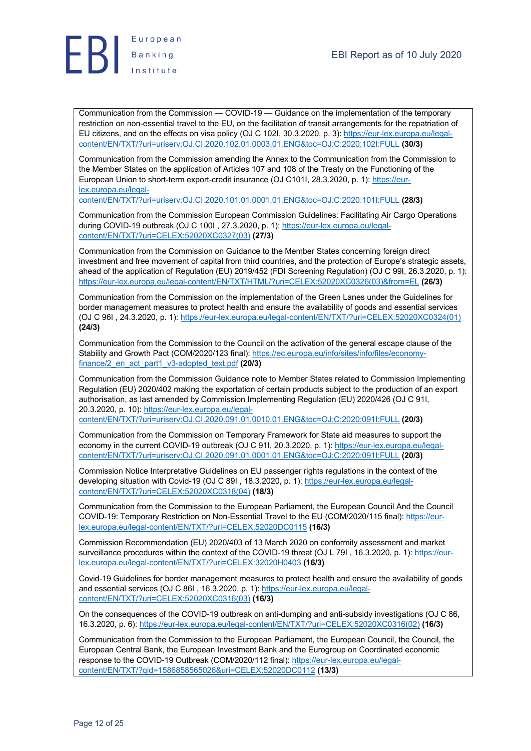



Communication from the Commission — COVID-19 — Guidance on the implementation of the temporary restriction on non-essential travel to the EU, on the facilitation of transit arrangements for the repatriation of EU citizens, and on the effects on visa policy (OJ C 102I, 30.3.2020, p. 3): https://eur-lex.europa.eu/legalcontent/EN/TXT/?uri=uriserv:OJ.CI.2020.102.01.0003.01.ENG&toc=OJ:C:2020:102I:FULL **(30/3)**

Communication from the Commission amending the Annex to the Communication from the Commission to the Member States on the application of Articles 107 and 108 of the Treaty on the Functioning of the European Union to short-term export-credit insurance (OJ C101I, 28.3.2020, p. 1): https://eurlex.europa.eu/legal-

content/EN/TXT/?uri=uriserv:OJ.CI.2020.101.01.0001.01.ENG&toc=OJ:C:2020:101I:FULL **(28/3)**

Communication from the Commission European Commission Guidelines: Facilitating Air Cargo Operations during COVID-19 outbreak (OJ C 100I, 27.3.2020, p. 1): https://eur-lex.europa.eu/legalcontent/EN/TXT/?uri=CELEX:52020XC0327(03) **(27/3)**

Communication from the Commission on Guidance to the Member States concerning foreign direct investment and free movement of capital from third countries, and the protection of Europe's strategic assets, ahead of the application of Regulation (EU) 2019/452 (FDI Screening Regulation) (OJ C 99I, 26.3.2020, p. 1): https://eur-lex.europa.eu/legal-content/EN/TXT/HTML/?uri=CELEX:52020XC0326(03)&from=EL **(26/3)**

Communication from the Commission on the implementation of the Green Lanes under the Guidelines for border management measures to protect health and ensure the availability of goods and essential services (OJ C 96I , 24.3.2020, p. 1): https://eur-lex.europa.eu/legal-content/EN/TXT/?uri=CELEX:52020XC0324(01) **(24/3)**

Communication from the Commission to the Council on the activation of the general escape clause of the Stability and Growth Pact (COM/2020/123 final): https://ec.europa.eu/info/sites/info/files/economyfinance/2\_en\_act\_part1\_v3-adopted\_text.pdf **(20/3)**

Communication from the Commission Guidance note to Member States related to Commission Implementing Regulation (EU) 2020/402 making the exportation of certain products subject to the production of an export authorisation, as last amended by Commission Implementing Regulation (EU) 2020/426 (OJ C 91I, 20.3.2020, p. 10): https://eur-lex.europa.eu/legalcontent/EN/TXT/?uri=uriserv:OJ.CI.2020.091.01.0010.01.ENG&toc=OJ:C:2020:091I:FULL **(20/3)**

Communication from the Commission on Temporary Framework for State aid measures to support the economy in the current COVID-19 outbreak (OJ C 91I, 20.3.2020, p. 1): https://eur-lex.europa.eu/legalcontent/EN/TXT/?uri=uriserv:OJ.CI.2020.091.01.0001.01.ENG&toc=OJ:C:2020:091I:FULL **(20/3)**

Commission Notice Interpretative Guidelines on EU passenger rights regulations in the context of the developing situation with Covid-19 (OJ C 89I , 18.3.2020, p. 1): https://eur-lex.europa.eu/legalcontent/EN/TXT/?uri=CELEX:52020XC0318(04) **(18/3)**

Communication from the Commission to the European Parliament, the European Council And the Council COVID-19: Temporary Restriction on Non-Essential Travel to the EU (COM/2020/115 final): https://eurlex.europa.eu/legal-content/EN/TXT/?uri=CELEX:52020DC0115 **(16/3)**

Commission Recommendation (EU) 2020/403 of 13 March 2020 on conformity assessment and market surveillance procedures within the context of the COVID-19 threat (OJ L 79I , 16.3.2020, p. 1): https://eurlex.europa.eu/legal-content/EN/TXT/?uri=CELEX:32020H0403 **(16/3)**

Covid-19 Guidelines for border management measures to protect health and ensure the availability of goods and essential services (OJ C 86I , 16.3.2020, p. 1): https://eur-lex.europa.eu/legalcontent/EN/TXT/?uri=CELEX:52020XC0316(03) **(16/3)**

On the consequences of the COVID-19 outbreak on anti-dumping and anti-subsidy investigations (OJ C 86, 16.3.2020, p. 6): https://eur-lex.europa.eu/legal-content/EN/TXT/?uri=CELEX:52020XC0316(02) **(16/3)**

Communication from the Commission to the European Parliament, the European Council, the Council, the European Central Bank, the European Investment Bank and the Eurogroup on Coordinated economic response to the COVID-19 Outbreak (COM/2020/112 final): https://eur-lex.europa.eu/legalcontent/EN/TXT/?qid=1586858565026&uri=CELEX:52020DC0112 **(13/3)**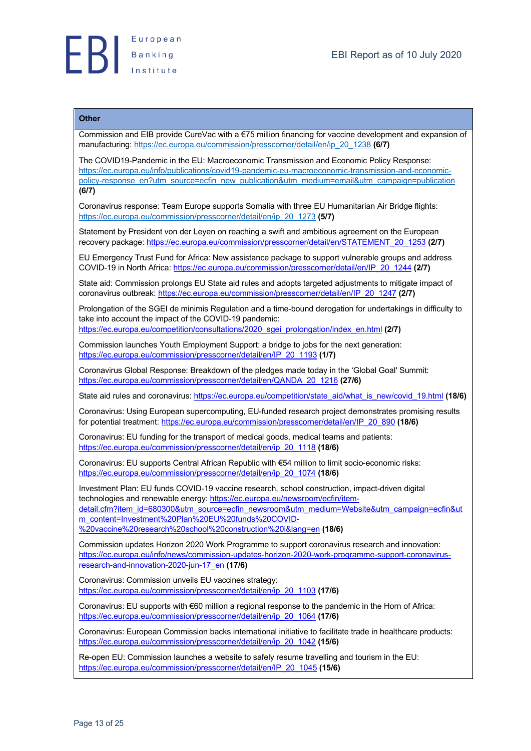

#### **Other**

Commission and EIB provide CureVac with a €75 million financing for vaccine development and expansion of manufacturing: https://ec.europa.eu/commission/presscorner/detail/en/ip\_20\_1238 **(6/7)**

The COVID19-Pandemic in the EU: Macroeconomic Transmission and Economic Policy Response: https://ec.europa.eu/info/publications/covid19-pandemic-eu-macroeconomic-transmission-and-economicpolicy-response\_en?utm\_source=ecfin\_new\_publication&utm\_medium=email&utm\_campaign=publication **(6/7)**

Coronavirus response: Team Europe supports Somalia with three EU Humanitarian Air Bridge flights: https://ec.europa.eu/commission/presscorner/detail/en/ip\_20\_1273 **(5/7)**

Statement by President von der Leyen on reaching a swift and ambitious agreement on the European recovery package: https://ec.europa.eu/commission/presscorner/detail/en/STATEMENT\_20\_1253 **(2/7)**

EU Emergency Trust Fund for Africa: New assistance package to support vulnerable groups and address COVID-19 in North Africa: https://ec.europa.eu/commission/presscorner/detail/en/IP\_20\_1244 **(2/7)**

State aid: Commission prolongs EU State aid rules and adopts targeted adjustments to mitigate impact of coronavirus outbreak: https://ec.europa.eu/commission/presscorner/detail/en/IP\_20\_1247 **(2/7)**

Prolongation of the SGEI de minimis Regulation and a time-bound derogation for undertakings in difficulty to take into account the impact of the COVID-19 pandemic: https://ec.europa.eu/competition/consultations/2020\_sgei\_prolongation/index\_en.html **(2/7)**

Commission launches Youth Employment Support: a bridge to jobs for the next generation: https://ec.europa.eu/commission/presscorner/detail/en/IP\_20\_1193 **(1/7)**

Coronavirus Global Response: Breakdown of the pledges made today in the 'Global Goal' Summit: https://ec.europa.eu/commission/presscorner/detail/en/QANDA\_20\_1216 **(27/6)**

State aid rules and coronavirus: https://ec.europa.eu/competition/state\_aid/what\_is\_new/covid\_19.html **(18/6)**

Coronavirus: Using European supercomputing, EU-funded research project demonstrates promising results for potential treatment: https://ec.europa.eu/commission/presscorner/detail/en/IP\_20\_890 **(18/6)**

Coronavirus: EU funding for the transport of medical goods, medical teams and patients: https://ec.europa.eu/commission/presscorner/detail/en/ip\_20\_1118 **(18/6)**

Coronavirus: EU supports Central African Republic with €54 million to limit socio-economic risks: https://ec.europa.eu/commission/presscorner/detail/en/ip\_20\_1074 **(18/6)**

Investment Plan: EU funds COVID-19 vaccine research, school construction, impact-driven digital technologies and renewable energy: https://ec.europa.eu/newsroom/ecfin/itemdetail.cfm?item\_id=680300&utm\_source=ecfin\_newsroom&utm\_medium=Website&utm\_campaign=ecfin&ut m\_content=Investment%20Plan%20EU%20funds%20COVID-

%20vaccine%20research%20school%20construction%20i&lang=en **(18/6)**

Commission updates Horizon 2020 Work Programme to support coronavirus research and innovation: https://ec.europa.eu/info/news/commission-updates-horizon-2020-work-programme-support-coronavirusresearch-and-innovation-2020-jun-17\_en **(17/6)**

Coronavirus: Commission unveils EU vaccines strategy: https://ec.europa.eu/commission/presscorner/detail/en/ip\_20\_1103 **(17/6)**

Coronavirus: EU supports with €60 million a regional response to the pandemic in the Horn of Africa: https://ec.europa.eu/commission/presscorner/detail/en/ip\_20\_1064 **(17/6)**

Coronavirus: European Commission backs international initiative to facilitate trade in healthcare products: https://ec.europa.eu/commission/presscorner/detail/en/ip\_20\_1042 **(15/6)**

Re-open EU: Commission launches a website to safely resume travelling and tourism in the EU: https://ec.europa.eu/commission/presscorner/detail/en/IP\_20\_1045 **(15/6)**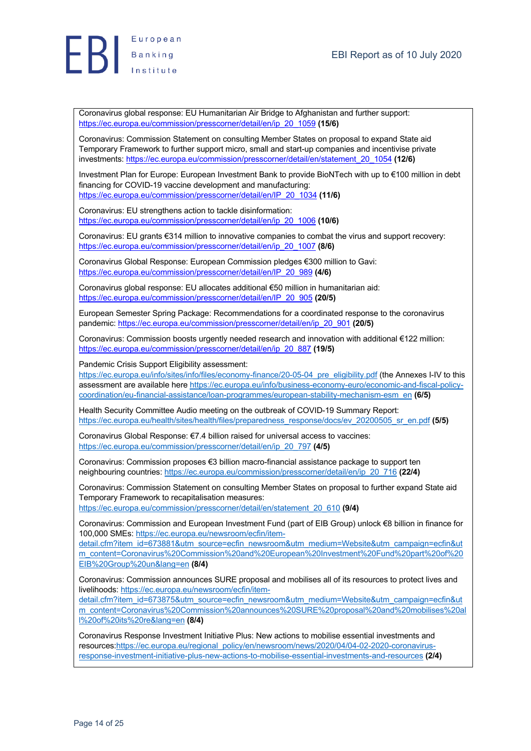



Coronavirus global response: EU Humanitarian Air Bridge to Afghanistan and further support: https://ec.europa.eu/commission/presscorner/detail/en/ip\_20\_1059 **(15/6)**

Coronavirus: Commission Statement on consulting Member States on proposal to expand State aid Temporary Framework to further support micro, small and start-up companies and incentivise private investments: https://ec.europa.eu/commission/presscorner/detail/en/statement\_20\_1054 **(12/6)**

Investment Plan for Europe: European Investment Bank to provide BioNTech with up to €100 million in debt financing for COVID-19 vaccine development and manufacturing: https://ec.europa.eu/commission/presscorner/detail/en/IP\_20\_1034 **(11/6)**

Coronavirus: EU strengthens action to tackle disinformation: https://ec.europa.eu/commission/presscorner/detail/en/ip\_20\_1006 **(10/6)**

Coronavirus: EU grants €314 million to innovative companies to combat the virus and support recovery: https://ec.europa.eu/commission/presscorner/detail/en/ip\_20\_1007 **(8/6)**

Coronavirus Global Response: European Commission pledges €300 million to Gavi: https://ec.europa.eu/commission/presscorner/detail/en/IP\_20\_989 **(4/6)**

Coronavirus global response: EU allocates additional €50 million in humanitarian aid: https://ec.europa.eu/commission/presscorner/detail/en/IP\_20\_905 **(20/5)**

European Semester Spring Package: Recommendations for a coordinated response to the coronavirus pandemic: https://ec.europa.eu/commission/presscorner/detail/en/ip\_20\_901 **(20/5)**

Coronavirus: Commission boosts urgently needed research and innovation with additional €122 million: https://ec.europa.eu/commission/presscorner/detail/en/ip\_20\_887 **(19/5)**

Pandemic Crisis Support Eligibility assessment:

https://ec.europa.eu/info/sites/info/files/economy-finance/20-05-04\_pre\_eligibility.pdf (the Annexes I-IV to this assessment are available here https://ec.europa.eu/info/business-economy-euro/economic-and-fiscal-policycoordination/eu-financial-assistance/loan-programmes/european-stability-mechanism-esm\_en **(6/5)**

Health Security Committee Audio meeting on the outbreak of COVID-19 Summary Report: https://ec.europa.eu/health/sites/health/files/preparedness\_response/docs/ev\_20200505\_sr\_en.pdf **(5/5)**

Coronavirus Global Response: €7.4 billion raised for universal access to vaccines: https://ec.europa.eu/commission/presscorner/detail/en/ip\_20\_797 **(4/5)**

Coronavirus: Commission proposes €3 billion macro-financial assistance package to support ten neighbouring countries: https://ec.europa.eu/commission/presscorner/detail/en/ip\_20\_716 **(22/4)**

Coronavirus: Commission Statement on consulting Member States on proposal to further expand State aid Temporary Framework to recapitalisation measures:

https://ec.europa.eu/commission/presscorner/detail/en/statement\_20\_610 **(9/4)**

Coronavirus: Commission and European Investment Fund (part of EIB Group) unlock €8 billion in finance for 100,000 SMEs: https://ec.europa.eu/newsroom/ecfin/item-

detail.cfm?item\_id=673881&utm\_source=ecfin\_newsroom&utm\_medium=Website&utm\_campaign=ecfin&ut m\_content=Coronavirus%20Commission%20and%20European%20Investment%20Fund%20part%20of%20 EIB%20Group%20un&lang=en **(8/4)**

Coronavirus: Commission announces SURE proposal and mobilises all of its resources to protect lives and livelihoods: https://ec.europa.eu/newsroom/ecfin/item-

detail.cfm?item\_id=673875&utm\_source=ecfin\_newsroom&utm\_medium=Website&utm\_campaign=ecfin&ut m\_content=Coronavirus%20Commission%20announces%20SURE%20proposal%20and%20mobilises%20al l%20of%20its%20re&lang=en **(8/4)**

Coronavirus Response Investment Initiative Plus: New actions to mobilise essential investments and resources:https://ec.europa.eu/regional\_policy/en/newsroom/news/2020/04/04-02-2020-coronavirusresponse-investment-initiative-plus-new-actions-to-mobilise-essential-investments-and-resources **(2/4)**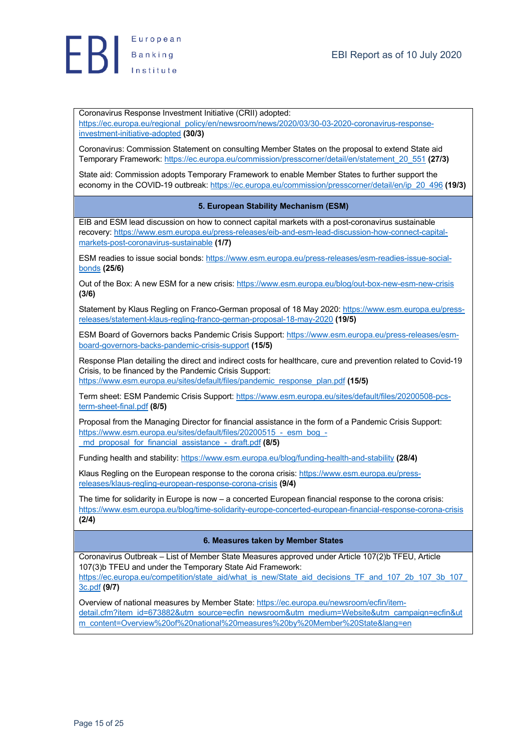

Coronavirus Response Investment Initiative (CRII) adopted:

https://ec.europa.eu/regional\_policy/en/newsroom/news/2020/03/30-03-2020-coronavirus-responseinvestment-initiative-adopted **(30/3)**

Coronavirus: Commission Statement on consulting Member States on the proposal to extend State aid Temporary Framework: https://ec.europa.eu/commission/presscorner/detail/en/statement\_20\_551 **(27/3)**

State aid: Commission adopts Temporary Framework to enable Member States to further support the economy in the COVID-19 outbreak: https://ec.europa.eu/commission/presscorner/detail/en/ip\_20\_496 **(19/3)**

#### **5. European Stability Mechanism (ESM)**

EIB and ESM lead discussion on how to connect capital markets with a post-coronavirus sustainable recovery: https://www.esm.europa.eu/press-releases/eib-and-esm-lead-discussion-how-connect-capitalmarkets-post-coronavirus-sustainable **(1/7)**

ESM readies to issue social bonds: https://www.esm.europa.eu/press-releases/esm-readies-issue-socialbonds **(25/6)**

Out of the Box: A new ESM for a new crisis: https://www.esm.europa.eu/blog/out-box-new-esm-new-crisis **(3/6)**

Statement by Klaus Regling on Franco-German proposal of 18 May 2020: https://www.esm.europa.eu/pressreleases/statement-klaus-regling-franco-german-proposal-18-may-2020 **(19/5)**

ESM Board of Governors backs Pandemic Crisis Support: https://www.esm.europa.eu/press-releases/esmboard-governors-backs-pandemic-crisis-support **(15/5)**

Response Plan detailing the direct and indirect costs for healthcare, cure and prevention related to Covid-19 Crisis, to be financed by the Pandemic Crisis Support:

https://www.esm.europa.eu/sites/default/files/pandemic\_response\_plan.pdf **(15/5)**

Term sheet: ESM Pandemic Crisis Support: https://www.esm.europa.eu/sites/default/files/20200508-pcsterm-sheet-final.pdf **(8/5)**

Proposal from the Managing Director for financial assistance in the form of a Pandemic Crisis Support: https://www.esm.europa.eu/sites/default/files/20200515 - esm\_bog\_-\_md\_proposal\_for\_financial\_assistance\_-\_draft.pdf **(8/5)**

Funding health and stability: https://www.esm.europa.eu/blog/funding-health-and-stability **(28/4)**

Klaus Regling on the European response to the corona crisis: https://www.esm.europa.eu/pressreleases/klaus-regling-european-response-corona-crisis **(9/4)**

The time for solidarity in Europe is now – a concerted European financial response to the corona crisis: https://www.esm.europa.eu/blog/time-solidarity-europe-concerted-european-financial-response-corona-crisis **(2/4)**

#### **6. Measures taken by Member States**

Coronavirus Outbreak – List of Member State Measures approved under Article 107(2)b TFEU, Article 107(3)b TFEU and under the Temporary State Aid Framework:

https://ec.europa.eu/competition/state\_aid/what\_is\_new/State\_aid\_decisions\_TF\_and\_107\_2b\_107\_3b\_107 3c.pdf **(9/7)**

Overview of national measures by Member State: https://ec.europa.eu/newsroom/ecfin/itemdetail.cfm?item\_id=673882&utm\_source=ecfin\_newsroom&utm\_medium=Website&utm\_campaign=ecfin&ut m\_content=Overview%20of%20national%20measures%20by%20Member%20State&lang=en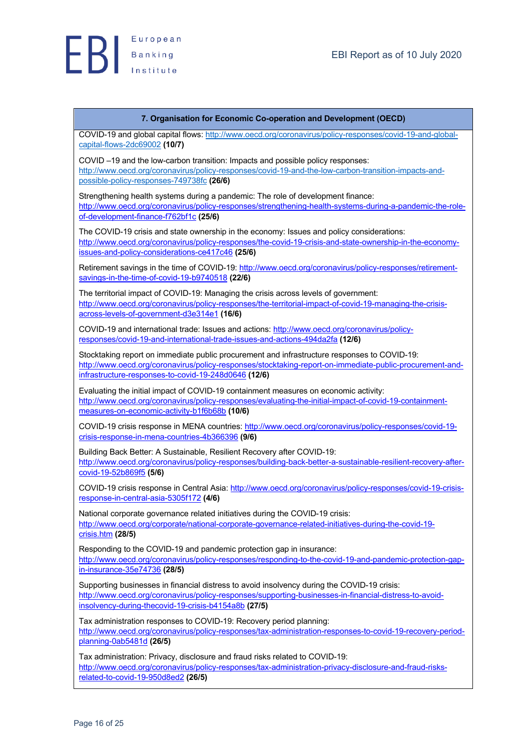

#### **7. Organisation for Economic Co-operation and Development (OECD)**

COVID-19 and global capital flows: http://www.oecd.org/coronavirus/policy-responses/covid-19-and-globalcapital-flows-2dc69002 **(10/7)**

COVID –19 and the low-carbon transition: Impacts and possible policy responses: http://www.oecd.org/coronavirus/policy-responses/covid-19-and-the-low-carbon-transition-impacts-andpossible-policy-responses-749738fc **(26/6)**

Strengthening health systems during a pandemic: The role of development finance: http://www.oecd.org/coronavirus/policy-responses/strengthening-health-systems-during-a-pandemic-the-roleof-development-finance-f762bf1c **(25/6)**

The COVID-19 crisis and state ownership in the economy: Issues and policy considerations: http://www.oecd.org/coronavirus/policy-responses/the-covid-19-crisis-and-state-ownership-in-the-economyissues-and-policy-considerations-ce417c46 **(25/6)**

Retirement savings in the time of COVID-19: http://www.oecd.org/coronavirus/policy-responses/retirementsavings-in-the-time-of-covid-19-b9740518 **(22/6)**

The territorial impact of COVID-19: Managing the crisis across levels of government: http://www.oecd.org/coronavirus/policy-responses/the-territorial-impact-of-covid-19-managing-the-crisisacross-levels-of-government-d3e314e1 **(16/6)**

COVID-19 and international trade: Issues and actions: http://www.oecd.org/coronavirus/policyresponses/covid-19-and-international-trade-issues-and-actions-494da2fa **(12/6)**

Stocktaking report on immediate public procurement and infrastructure responses to COVID-19: http://www.oecd.org/coronavirus/policy-responses/stocktaking-report-on-immediate-public-procurement-andinfrastructure-responses-to-covid-19-248d0646 **(12/6)**

Evaluating the initial impact of COVID-19 containment measures on economic activity: http://www.oecd.org/coronavirus/policy-responses/evaluating-the-initial-impact-of-covid-19-containmentmeasures-on-economic-activity-b1f6b68b **(10/6)**

COVID-19 crisis response in MENA countries: http://www.oecd.org/coronavirus/policy-responses/covid-19 crisis-response-in-mena-countries-4b366396 **(9/6)**

Building Back Better: A Sustainable, Resilient Recovery after COVID-19: http://www.oecd.org/coronavirus/policy-responses/building-back-better-a-sustainable-resilient-recovery-aftercovid-19-52b869f5 **(5/6)**

COVID-19 crisis response in Central Asia: http://www.oecd.org/coronavirus/policy-responses/covid-19-crisisresponse-in-central-asia-5305f172 **(4/6)**

National corporate governance related initiatives during the COVID-19 crisis: http://www.oecd.org/corporate/national-corporate-governance-related-initiatives-during-the-covid-19 crisis.htm **(28/5)**

Responding to the COVID-19 and pandemic protection gap in insurance: http://www.oecd.org/coronavirus/policy-responses/responding-to-the-covid-19-and-pandemic-protection-gapin-insurance-35e74736 **(28/5)**

Supporting businesses in financial distress to avoid insolvency during the COVID-19 crisis: http://www.oecd.org/coronavirus/policy-responses/supporting-businesses-in-financial-distress-to-avoidinsolvency-during-thecovid-19-crisis-b4154a8b **(27/5)**

Tax administration responses to COVID-19: Recovery period planning: http://www.oecd.org/coronavirus/policy-responses/tax-administration-responses-to-covid-19-recovery-periodplanning-0ab5481d **(26/5)**

Tax administration: Privacy, disclosure and fraud risks related to COVID-19: http://www.oecd.org/coronavirus/policy-responses/tax-administration-privacy-disclosure-and-fraud-risksrelated-to-covid-19-950d8ed2 **(26/5)**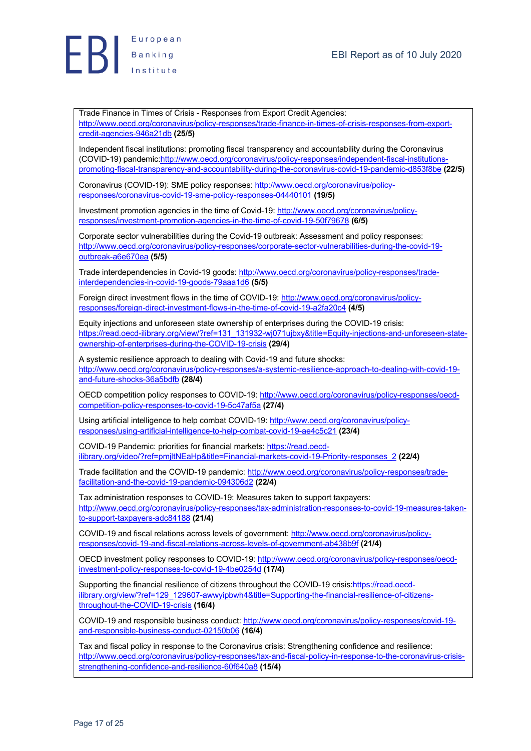

Trade Finance in Times of Crisis - Responses from Export Credit Agencies: http://www.oecd.org/coronavirus/policy-responses/trade-finance-in-times-of-crisis-responses-from-exportcredit-agencies-946a21db **(25/5)**

Independent fiscal institutions: promoting fiscal transparency and accountability during the Coronavirus (COVID-19) pandemic:http://www.oecd.org/coronavirus/policy-responses/independent-fiscal-institutionspromoting-fiscal-transparency-and-accountability-during-the-coronavirus-covid-19-pandemic-d853f8be **(22/5)**

Coronavirus (COVID-19): SME policy responses: http://www.oecd.org/coronavirus/policyresponses/coronavirus-covid-19-sme-policy-responses-04440101 **(19/5)**

Investment promotion agencies in the time of Covid-19: http://www.oecd.org/coronavirus/policyresponses/investment-promotion-agencies-in-the-time-of-covid-19-50f79678 **(6/5)**

Corporate sector vulnerabilities during the Covid-19 outbreak: Assessment and policy responses: http://www.oecd.org/coronavirus/policy-responses/corporate-sector-vulnerabilities-during-the-covid-19 outbreak-a6e670ea **(5/5)**

Trade interdependencies in Covid-19 goods: http://www.oecd.org/coronavirus/policy-responses/tradeinterdependencies-in-covid-19-goods-79aaa1d6 **(5/5)**

Foreign direct investment flows in the time of COVID-19: http://www.oecd.org/coronavirus/policyresponses/foreign-direct-investment-flows-in-the-time-of-covid-19-a2fa20c4 **(4/5)**

Equity injections and unforeseen state ownership of enterprises during the COVID-19 crisis: https://read.oecd-ilibrary.org/view/?ref=131\_131932-wj071ujbxy&title=Equity-injections-and-unforeseen-stateownership-of-enterprises-during-the-COVID-19-crisis **(29/4)**

A systemic resilience approach to dealing with Covid-19 and future shocks: http://www.oecd.org/coronavirus/policy-responses/a-systemic-resilience-approach-to-dealing-with-covid-19 and-future-shocks-36a5bdfb **(28/4)**

OECD competition policy responses to COVID-19: http://www.oecd.org/coronavirus/policy-responses/oecdcompetition-policy-responses-to-covid-19-5c47af5a **(27/4)**

Using artificial intelligence to help combat COVID-19: http://www.oecd.org/coronavirus/policyresponses/using-artificial-intelligence-to-help-combat-covid-19-ae4c5c21 **(23/4)**

COVID-19 Pandemic: priorities for financial markets: https://read.oecdilibrary.org/video/?ref=pmjltNEaHp&title=Financial-markets-covid-19-Priority-responses\_2 **(22/4)**

Trade facilitation and the COVID-19 pandemic: http://www.oecd.org/coronavirus/policy-responses/tradefacilitation-and-the-covid-19-pandemic-094306d2 **(22/4)**

Tax administration responses to COVID-19: Measures taken to support taxpayers: http://www.oecd.org/coronavirus/policy-responses/tax-administration-responses-to-covid-19-measures-takento-support-taxpayers-adc84188 **(21/4)**

COVID-19 and fiscal relations across levels of government: http://www.oecd.org/coronavirus/policyresponses/covid-19-and-fiscal-relations-across-levels-of-government-ab438b9f **(21/4)**

OECD investment policy responses to COVID-19: http://www.oecd.org/coronavirus/policy-responses/oecdinvestment-policy-responses-to-covid-19-4be0254d **(17/4)**

Supporting the financial resilience of citizens throughout the COVID-19 crisis:https://read.oecdilibrary.org/view/?ref=129\_129607-awwyipbwh4&title=Supporting-the-financial-resilience-of-citizensthroughout-the-COVID-19-crisis **(16/4)**

COVID-19 and responsible business conduct: http://www.oecd.org/coronavirus/policy-responses/covid-19 and-responsible-business-conduct-02150b06 **(16/4)**

Tax and fiscal policy in response to the Coronavirus crisis: Strengthening confidence and resilience: http://www.oecd.org/coronavirus/policy-responses/tax-and-fiscal-policy-in-response-to-the-coronavirus-crisisstrengthening-confidence-and-resilience-60f640a8 **(15/4)**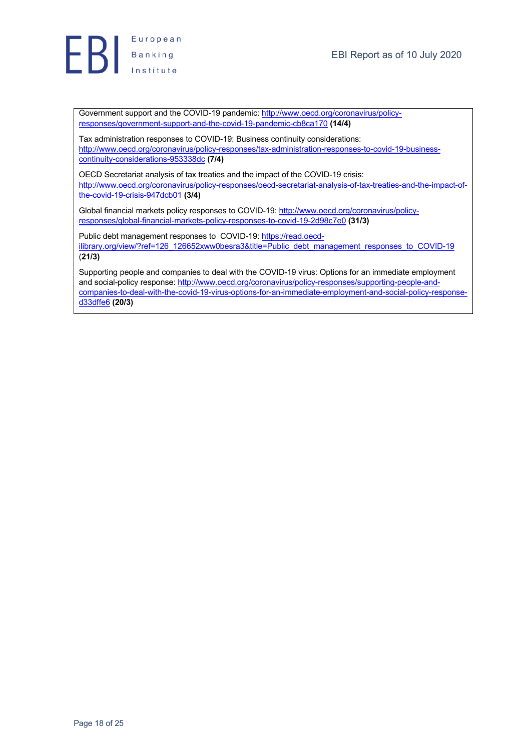

Government support and the COVID-19 pandemic: http://www.oecd.org/coronavirus/policyresponses/government-support-and-the-covid-19-pandemic-cb8ca170 **(14/4)**

Tax administration responses to COVID-19: Business continuity considerations: http://www.oecd.org/coronavirus/policy-responses/tax-administration-responses-to-covid-19-businesscontinuity-considerations-953338dc **(7/4)**

OECD Secretariat analysis of tax treaties and the impact of the COVID-19 crisis: http://www.oecd.org/coronavirus/policy-responses/oecd-secretariat-analysis-of-tax-treaties-and-the-impact-ofthe-covid-19-crisis-947dcb01 **(3/4)**

Global financial markets policy responses to COVID-19: http://www.oecd.org/coronavirus/policyresponses/global-financial-markets-policy-responses-to-covid-19-2d98c7e0 **(31/3)**

Public debt management responses to COVID-19: https://read.oecdilibrary.org/view/?ref=126\_126652xww0besra3&title=Public\_debt\_management\_responses\_to\_COVID-19 (**21/3)**

Supporting people and companies to deal with the COVID-19 virus: Options for an immediate employment and social-policy response: http://www.oecd.org/coronavirus/policy-responses/supporting-people-andcompanies-to-deal-with-the-covid-19-virus-options-for-an-immediate-employment-and-social-policy-responsed33dffe6 **(20/3)**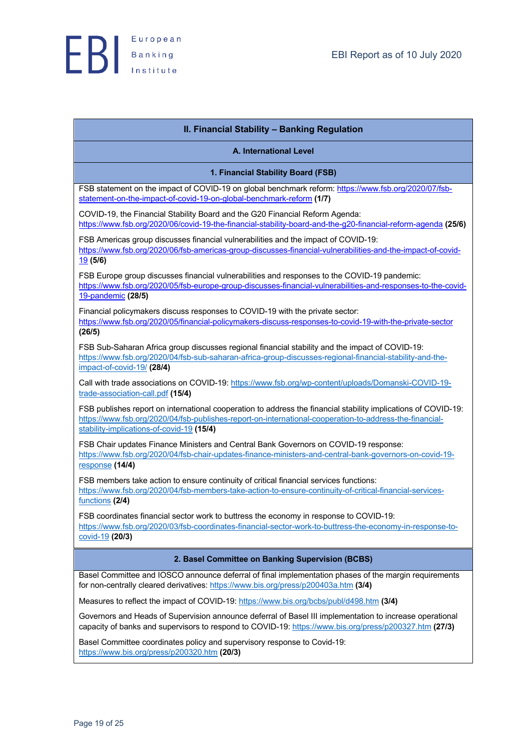

| <b>II. Financial Stability - Banking Regulation</b>                                                                                                                                                                                                                    |
|------------------------------------------------------------------------------------------------------------------------------------------------------------------------------------------------------------------------------------------------------------------------|
| A. International Level                                                                                                                                                                                                                                                 |
| 1. Financial Stability Board (FSB)                                                                                                                                                                                                                                     |
| FSB statement on the impact of COVID-19 on global benchmark reform: https://www.fsb.org/2020/07/fsb-<br>statement-on-the-impact-of-covid-19-on-global-benchmark-reform (1/7)                                                                                           |
| COVID-19, the Financial Stability Board and the G20 Financial Reform Agenda:<br>https://www.fsb.org/2020/06/covid-19-the-financial-stability-board-and-the-g20-financial-reform-agenda (25/6)                                                                          |
| FSB Americas group discusses financial vulnerabilities and the impact of COVID-19:<br>https://www.fsb.org/2020/06/fsb-americas-group-discusses-financial-vulnerabilities-and-the-impact-of-covid-<br>19(5/6)                                                           |
| FSB Europe group discusses financial vulnerabilities and responses to the COVID-19 pandemic:<br>https://www.fsb.org/2020/05/fsb-europe-group-discusses-financial-vulnerabilities-and-responses-to-the-covid-                                                           |
| 19-pandemic (28/5)                                                                                                                                                                                                                                                     |
| Financial policymakers discuss responses to COVID-19 with the private sector:<br>https://www.fsb.org/2020/05/financial-policymakers-discuss-responses-to-covid-19-with-the-private-sector<br>(26/5)                                                                    |
| FSB Sub-Saharan Africa group discusses regional financial stability and the impact of COVID-19:<br>https://www.fsb.org/2020/04/fsb-sub-saharan-africa-group-discusses-regional-financial-stability-and-the-<br>impact-of-covid-19/ <sub>(28/4)</sub>                   |
| Call with trade associations on COVID-19: https://www.fsb.org/wp-content/uploads/Domanski-COVID-19-<br>trade-association-call.pdf (15/4)                                                                                                                               |
| FSB publishes report on international cooperation to address the financial stability implications of COVID-19:<br>https://www.fsb.org/2020/04/fsb-publishes-report-on-international-cooperation-to-address-the-financial-<br>stability-implications-of-covid-19 (15/4) |
| FSB Chair updates Finance Ministers and Central Bank Governors on COVID-19 response:<br>https://www.fsb.org/2020/04/fsb-chair-updates-finance-ministers-and-central-bank-governors-on-covid-19-<br>response (14/4)                                                     |
| FSB members take action to ensure continuity of critical financial services functions:<br>https://www.fsb.org/2020/04/fsb-members-take-action-to-ensure-continuity-of-critical-financial-services-<br>functions (2/4)                                                  |
| FSB coordinates financial sector work to buttress the economy in response to COVID-19:<br>https://www.fsb.org/2020/03/fsb-coordinates-financial-sector-work-to-buttress-the-economy-in-response-to-<br>covid-19 (20/3)                                                 |
| 2. Basel Committee on Banking Supervision (BCBS)                                                                                                                                                                                                                       |
| Basel Committee and IOSCO announce deferral of final implementation phases of the margin requirements<br>for non-centrally cleared derivatives: https://www.bis.org/press/p200403a.htm (3/4)                                                                           |
| Measures to reflect the impact of COVID-19: https://www.bis.org/bcbs/publ/d498.htm (3/4)                                                                                                                                                                               |
| Governors and Heads of Supervision announce deferral of Basel III implementation to increase operational<br>capacity of banks and supervisors to respond to COVID-19: https://www.bis.org/press/p200327.htm (27/3)                                                     |
| Basel Committee coordinates policy and supervisory response to Covid-19:                                                                                                                                                                                               |

https://www.bis.org/press/p200320.htm **(20/3)**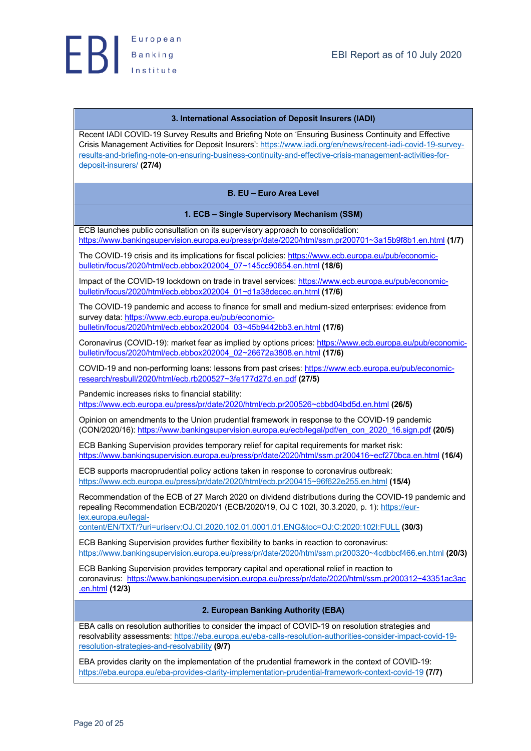#### **3. International Association of Deposit Insurers (IADI)**

Recent IADI COVID-19 Survey Results and Briefing Note on 'Ensuring Business Continuity and Effective Crisis Management Activities for Deposit Insurers': https://www.iadi.org/en/news/recent-iadi-covid-19-surveyresults-and-briefing-note-on-ensuring-business-continuity-and-effective-crisis-management-activities-fordeposit-insurers/ **(27/4)**

#### **B. EU – Euro Area Level**

#### **1. ECB – Single Supervisory Mechanism (SSM)**

ECB launches public consultation on its supervisory approach to consolidation: https://www.bankingsupervision.europa.eu/press/pr/date/2020/html/ssm.pr200701~3a15b9f8b1.en.html **(1/7)**

The COVID-19 crisis and its implications for fiscal policies: https://www.ecb.europa.eu/pub/economicbulletin/focus/2020/html/ecb.ebbox202004\_07~145cc90654.en.html **(18/6)**

Impact of the COVID-19 lockdown on trade in travel services: https://www.ecb.europa.eu/pub/economicbulletin/focus/2020/html/ecb.ebbox202004\_01~d1a38decec.en.html **(17/6)**

The COVID-19 pandemic and access to finance for small and medium-sized enterprises: evidence from survey data: https://www.ecb.europa.eu/pub/economicbulletin/focus/2020/html/ecb.ebbox202004\_03~45b9442bb3.en.html **(17/6)**

Coronavirus (COVID-19): market fear as implied by options prices: https://www.ecb.europa.eu/pub/economicbulletin/focus/2020/html/ecb.ebbox202004\_02~26672a3808.en.html **(17/6)**

COVID-19 and non-performing loans: lessons from past crises: https://www.ecb.europa.eu/pub/economicresearch/resbull/2020/html/ecb.rb200527~3fe177d27d.en.pdf **(27/5)**

Pandemic increases risks to financial stability:

https://www.ecb.europa.eu/press/pr/date/2020/html/ecb.pr200526~cbbd04bd5d.en.html **(26/5)**

Opinion on amendments to the Union prudential framework in response to the COVID-19 pandemic (CON/2020/16): https://www.bankingsupervision.europa.eu/ecb/legal/pdf/en\_con\_2020\_16.sign.pdf **(20/5)**

ECB Banking Supervision provides temporary relief for capital requirements for market risk: https://www.bankingsupervision.europa.eu/press/pr/date/2020/html/ssm.pr200416~ecf270bca.en.html **(16/4)**

ECB supports macroprudential policy actions taken in response to coronavirus outbreak: https://www.ecb.europa.eu/press/pr/date/2020/html/ecb.pr200415~96f622e255.en.html **(15/4)**

Recommendation of the ECB of 27 March 2020 on dividend distributions during the COVID-19 pandemic and repealing Recommendation ECB/2020/1 (ECB/2020/19, OJ C 102I, 30.3.2020, p. 1): https://eurlex.europa.eu/legal-

content/EN/TXT/?uri=uriserv:OJ.CI.2020.102.01.0001.01.ENG&toc=OJ:C:2020:102I:FULL **(30/3)**

ECB Banking Supervision provides further flexibility to banks in reaction to coronavirus: https://www.bankingsupervision.europa.eu/press/pr/date/2020/html/ssm.pr200320~4cdbbcf466.en.html **(20/3)**

ECB Banking Supervision provides temporary capital and operational relief in reaction to coronavirus: https://www.bankingsupervision.europa.eu/press/pr/date/2020/html/ssm.pr200312~43351ac3ac .en.html **(12/3)**

#### **2. European Banking Authority (EBA)**

EBA calls on resolution authorities to consider the impact of COVID-19 on resolution strategies and resolvability assessments: https://eba.europa.eu/eba-calls-resolution-authorities-consider-impact-covid-19 resolution-strategies-and-resolvability **(9/7)**

EBA provides clarity on the implementation of the prudential framework in the context of COVID-19: https://eba.europa.eu/eba-provides-clarity-implementation-prudential-framework-context-covid-19 **(7/7)**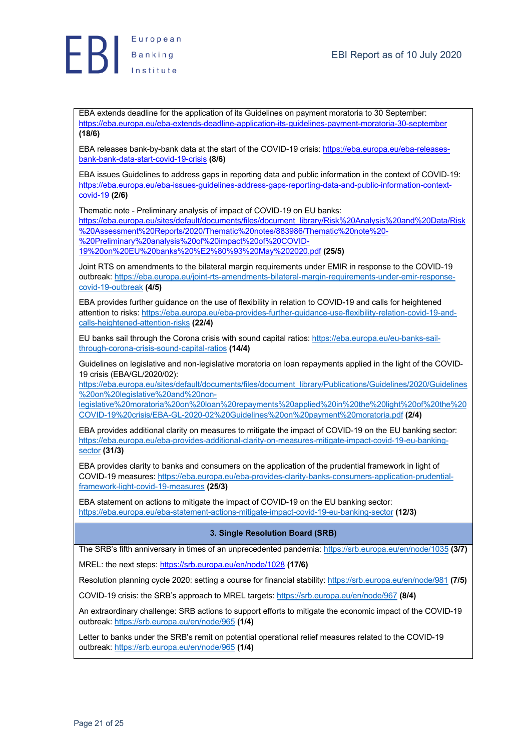EBA extends deadline for the application of its Guidelines on payment moratoria to 30 September: https://eba.europa.eu/eba-extends-deadline-application-its-guidelines-payment-moratoria-30-september **(18/6)**

EBA releases bank-by-bank data at the start of the COVID-19 crisis: https://eba.europa.eu/eba-releasesbank-bank-data-start-covid-19-crisis **(8/6)**

EBA issues Guidelines to address gaps in reporting data and public information in the context of COVID-19: https://eba.europa.eu/eba-issues-guidelines-address-gaps-reporting-data-and-public-information-contextcovid-19 **(2/6)**

Thematic note - Preliminary analysis of impact of COVID-19 on EU banks:

https://eba.europa.eu/sites/default/documents/files/document\_library/Risk%20Analysis%20and%20Data/Risk %20Assessment%20Reports/2020/Thematic%20notes/883986/Thematic%20note%20- %20Preliminary%20analysis%20of%20impact%20of%20COVID-

19%20on%20EU%20banks%20%E2%80%93%20May%202020.pdf **(25/5)**

Joint RTS on amendments to the bilateral margin requirements under EMIR in response to the COVID-19 outbreak: https://eba.europa.eu/joint-rts-amendments-bilateral-margin-requirements-under-emir-responsecovid-19-outbreak **(4/5)**

EBA provides further guidance on the use of flexibility in relation to COVID-19 and calls for heightened attention to risks: https://eba.europa.eu/eba-provides-further-guidance-use-flexibility-relation-covid-19-andcalls-heightened-attention-risks **(22/4)**

EU banks sail through the Corona crisis with sound capital ratios: https://eba.europa.eu/eu-banks-sailthrough-corona-crisis-sound-capital-ratios **(14/4)**

Guidelines on legislative and non-legislative moratoria on loan repayments applied in the light of the COVID-19 crisis (EBA/GL/2020/02):

https://eba.europa.eu/sites/default/documents/files/document\_library/Publications/Guidelines/2020/Guidelines %20on%20legislative%20and%20non-

legislative%20moratoria%20on%20loan%20repayments%20applied%20in%20the%20light%20of%20the%20 COVID-19%20crisis/EBA-GL-2020-02%20Guidelines%20on%20payment%20moratoria.pdf **(2/4)**

EBA provides additional clarity on measures to mitigate the impact of COVID-19 on the EU banking sector: https://eba.europa.eu/eba-provides-additional-clarity-on-measures-mitigate-impact-covid-19-eu-bankingsector **(31/3)**

EBA provides clarity to banks and consumers on the application of the prudential framework in light of COVID-19 measures: https://eba.europa.eu/eba-provides-clarity-banks-consumers-application-prudentialframework-light-covid-19-measures **(25/3)**

EBA statement on actions to mitigate the impact of COVID-19 on the EU banking sector: https://eba.europa.eu/eba-statement-actions-mitigate-impact-covid-19-eu-banking-sector **(12/3)**

## **3. Single Resolution Board (SRB)**

The SRB's fifth anniversary in times of an unprecedented pandemia: https://srb.europa.eu/en/node/1035 **(3/7)**

MREL: the next steps: https://srb.europa.eu/en/node/1028 **(17/6)**

Resolution planning cycle 2020: setting a course for financial stability: https://srb.europa.eu/en/node/981 **(7/5)**

COVID-19 crisis: the SRB's approach to MREL targets: https://srb.europa.eu/en/node/967 **(8/4)**

An extraordinary challenge: SRB actions to support efforts to mitigate the economic impact of the COVID-19 outbreak: https://srb.europa.eu/en/node/965 **(1/4)**

Letter to banks under the SRB's remit on potential operational relief measures related to the COVID-19 outbreak: https://srb.europa.eu/en/node/965 **(1/4)**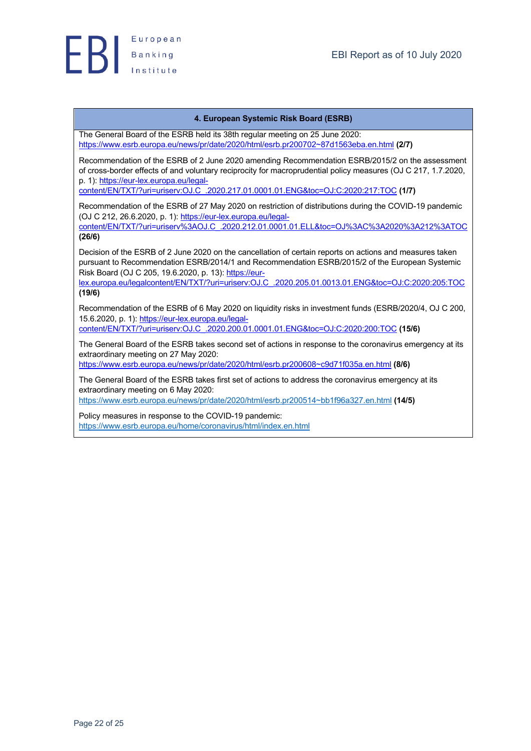

#### **4. European Systemic Risk Board (ESRB)**

The General Board of the ESRB held its 38th regular meeting on 25 June 2020: https://www.esrb.europa.eu/news/pr/date/2020/html/esrb.pr200702~87d1563eba.en.html **(2/7)**

Recommendation of the ESRB of 2 June 2020 amending Recommendation ESRB/2015/2 on the assessment of cross-border effects of and voluntary reciprocity for macroprudential policy measures (OJ C 217, 1.7.2020, p. 1): https://eur-lex.europa.eu/legal-

content/EN/TXT/?uri=uriserv:OJ.C\_.2020.217.01.0001.01.ENG&toc=OJ:C:2020:217:TOC **(1/7)**

Recommendation of the ESRB of 27 May 2020 on restriction of distributions during the COVID-19 pandemic (OJ C 212, 26.6.2020, p. 1): https://eur-lex.europa.eu/legalcontent/EN/TXT/?uri=uriserv%3AOJ.C\_.2020.212.01.0001.01.ELL&toc=OJ%3AC%3A2020%3A212%3ATOC **(26/6)**

Decision of the ESRB of 2 June 2020 on the cancellation of certain reports on actions and measures taken pursuant to Recommendation ESRB/2014/1 and Recommendation ESRB/2015/2 of the European Systemic Risk Board (OJ C 205, 19.6.2020, p. 13): https://eur-

lex.europa.eu/legalcontent/EN/TXT/?uri=uriserv:OJ.C\_.2020.205.01.0013.01.ENG&toc=OJ:C:2020:205:TOC **(19/6)**

Recommendation of the ESRB of 6 May 2020 on liquidity risks in investment funds (ESRB/2020/4, OJ C 200, 15.6.2020, p. 1): https://eur-lex.europa.eu/legal-

content/EN/TXT/?uri=uriserv:OJ.C\_.2020.200.01.0001.01.ENG&toc=OJ:C:2020:200:TOC **(15/6)**

The General Board of the ESRB takes second set of actions in response to the coronavirus emergency at its extraordinary meeting on 27 May 2020: https://www.esrb.europa.eu/news/pr/date/2020/html/esrb.pr200608~c9d71f035a.en.html **(8/6)**

The General Board of the ESRB takes first set of actions to address the coronavirus emergency at its

extraordinary meeting on 6 May 2020:

https://www.esrb.europa.eu/news/pr/date/2020/html/esrb.pr200514~bb1f96a327.en.html **(14/5)**

Policy measures in response to the COVID-19 pandemic: https://www.esrb.europa.eu/home/coronavirus/html/index.en.html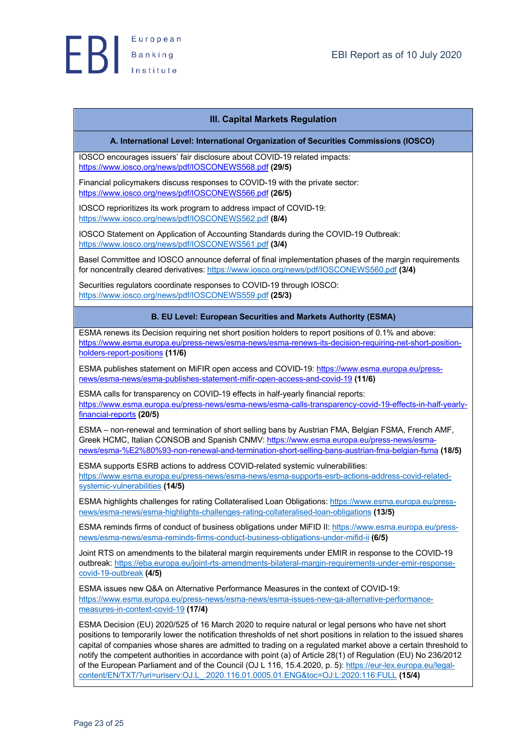

#### **III. Capital Markets Regulation**

#### **A. International Level: International Organization of Securities Commissions (IOSCO)**

IOSCO encourages issuers' fair disclosure about COVID-19 related impacts: https://www.iosco.org/news/pdf/IOSCONEWS568.pdf **(29/5)**

Financial policymakers discuss responses to COVID-19 with the private sector: https://www.iosco.org/news/pdf/IOSCONEWS566.pdf **(26/5)**

IOSCO reprioritizes its work program to address impact of COVID-19: https://www.iosco.org/news/pdf/IOSCONEWS562.pdf **(8/4)**

IOSCO Statement on Application of Accounting Standards during the COVID-19 Outbreak: https://www.iosco.org/news/pdf/IOSCONEWS561.pdf **(3/4)**

Basel Committee and IOSCO announce deferral of final implementation phases of the margin requirements for noncentrally cleared derivatives: https://www.iosco.org/news/pdf/IOSCONEWS560.pdf **(3/4)**

Securities regulators coordinate responses to COVID-19 through IOSCO: https://www.iosco.org/news/pdf/IOSCONEWS559.pdf **(25/3)**

#### **B. EU Level: European Securities and Markets Authority (ESMA)**

ESMA renews its Decision requiring net short position holders to report positions of 0.1% and above: https://www.esma.europa.eu/press-news/esma-news/esma-renews-its-decision-requiring-net-short-positionholders-report-positions **(11/6)**

ESMA publishes statement on MiFIR open access and COVID-19: https://www.esma.europa.eu/pressnews/esma-news/esma-publishes-statement-mifir-open-access-and-covid-19 **(11/6)**

ESMA calls for transparency on COVID-19 effects in half-yearly financial reports: https://www.esma.europa.eu/press-news/esma-news/esma-calls-transparency-covid-19-effects-in-half-yearlyfinancial-reports **(20/5)**

ESMA – non-renewal and termination of short selling bans by Austrian FMA, Belgian FSMA, French AMF, Greek HCMC, Italian CONSOB and Spanish CNMV: https://www.esma.europa.eu/press-news/esmanews/esma-%E2%80%93-non-renewal-and-termination-short-selling-bans-austrian-fma-belgian-fsma **(18/5)**

ESMA supports ESRB actions to address COVID-related systemic vulnerabilities: https://www.esma.europa.eu/press-news/esma-news/esma-supports-esrb-actions-address-covid-relatedsystemic-vulnerabilities **(14/5)**

ESMA highlights challenges for rating Collateralised Loan Obligations: https://www.esma.europa.eu/pressnews/esma-news/esma-highlights-challenges-rating-collateralised-loan-obligations **(13/5)**

ESMA reminds firms of conduct of business obligations under MiFID II: https://www.esma.europa.eu/pressnews/esma-news/esma-reminds-firms-conduct-business-obligations-under-mifid-ii **(6/5)**

Joint RTS on amendments to the bilateral margin requirements under EMIR in response to the COVID-19 outbreak: https://eba.europa.eu/joint-rts-amendments-bilateral-margin-requirements-under-emir-responsecovid-19-outbreak **(4/5)**

ESMA issues new Q&A on Alternative Performance Measures in the context of COVID-19: https://www.esma.europa.eu/press-news/esma-news/esma-issues-new-qa-alternative-performancemeasures-in-context-covid-19 **(17/4)**

ESMA Decision (EU) 2020/525 of 16 March 2020 to require natural or legal persons who have net short positions to temporarily lower the notification thresholds of net short positions in relation to the issued shares capital of companies whose shares are admitted to trading on a regulated market above a certain threshold to notify the competent authorities in accordance with point (a) of Article 28(1) of Regulation (EU) No 236/2012 of the European Parliament and of the Council (OJ L 116, 15.4.2020, p. 5): https://eur-lex.europa.eu/legalcontent/EN/TXT/?uri=uriserv:OJ.L\_.2020.116.01.0005.01.ENG&toc=OJ:L:2020:116:FULL **(15/4)**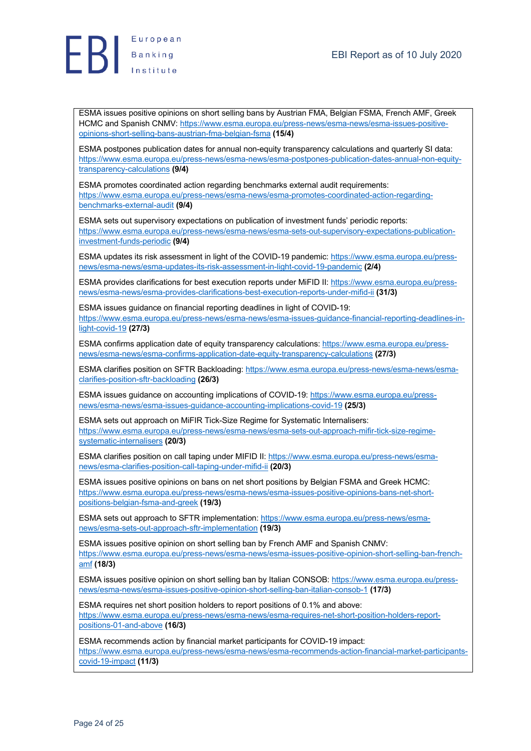

ESMA issues positive opinions on short selling bans by Austrian FMA, Belgian FSMA, French AMF, Greek HCMC and Spanish CNMV: https://www.esma.europa.eu/press-news/esma-news/esma-issues-positiveopinions-short-selling-bans-austrian-fma-belgian-fsma **(15/4)**

ESMA postpones publication dates for annual non-equity transparency calculations and quarterly SI data: https://www.esma.europa.eu/press-news/esma-news/esma-postpones-publication-dates-annual-non-equitytransparency-calculations **(9/4)**

ESMA promotes coordinated action regarding benchmarks external audit requirements: https://www.esma.europa.eu/press-news/esma-news/esma-promotes-coordinated-action-regardingbenchmarks-external-audit **(9/4)**

ESMA sets out supervisory expectations on publication of investment funds' periodic reports: https://www.esma.europa.eu/press-news/esma-news/esma-sets-out-supervisory-expectations-publicationinvestment-funds-periodic **(9/4)**

ESMA updates its risk assessment in light of the COVID-19 pandemic: https://www.esma.europa.eu/pressnews/esma-news/esma-updates-its-risk-assessment-in-light-covid-19-pandemic **(2/4)**

ESMA provides clarifications for best execution reports under MiFID II: https://www.esma.europa.eu/pressnews/esma-news/esma-provides-clarifications-best-execution-reports-under-mifid-ii **(31/3)**

ESMA issues guidance on financial reporting deadlines in light of COVID-19: https://www.esma.europa.eu/press-news/esma-news/esma-issues-guidance-financial-reporting-deadlines-inlight-covid-19 **(27/3)**

ESMA confirms application date of equity transparency calculations: https://www.esma.europa.eu/pressnews/esma-news/esma-confirms-application-date-equity-transparency-calculations **(27/3)**

ESMA clarifies position on SFTR Backloading: https://www.esma.europa.eu/press-news/esma-news/esmaclarifies-position-sftr-backloading **(26/3)**

ESMA issues guidance on accounting implications of COVID-19: https://www.esma.europa.eu/pressnews/esma-news/esma-issues-guidance-accounting-implications-covid-19 **(25/3)**

ESMA sets out approach on MiFIR Tick-Size Regime for Systematic Internalisers: https://www.esma.europa.eu/press-news/esma-news/esma-sets-out-approach-mifir-tick-size-regimesystematic-internalisers **(20/3)**

ESMA clarifies position on call taping under MIFID II: https://www.esma.europa.eu/press-news/esmanews/esma-clarifies-position-call-taping-under-mifid-ii **(20/3)**

ESMA issues positive opinions on bans on net short positions by Belgian FSMA and Greek HCMC: https://www.esma.europa.eu/press-news/esma-news/esma-issues-positive-opinions-bans-net-shortpositions-belgian-fsma-and-greek **(19/3)**

ESMA sets out approach to SFTR implementation: https://www.esma.europa.eu/press-news/esmanews/esma-sets-out-approach-sftr-implementation **(19/3)**

ESMA issues positive opinion on short selling ban by French AMF and Spanish CNMV: https://www.esma.europa.eu/press-news/esma-news/esma-issues-positive-opinion-short-selling-ban-frenchamf **(18/3)**

ESMA issues positive opinion on short selling ban by Italian CONSOB: https://www.esma.europa.eu/pressnews/esma-news/esma-issues-positive-opinion-short-selling-ban-italian-consob-1 **(17/3)**

ESMA requires net short position holders to report positions of 0.1% and above: https://www.esma.europa.eu/press-news/esma-news/esma-requires-net-short-position-holders-reportpositions-01-and-above **(16/3)**

ESMA recommends action by financial market participants for COVID-19 impact: https://www.esma.europa.eu/press-news/esma-news/esma-recommends-action-financial-market-participantscovid-19-impact **(11/3)**